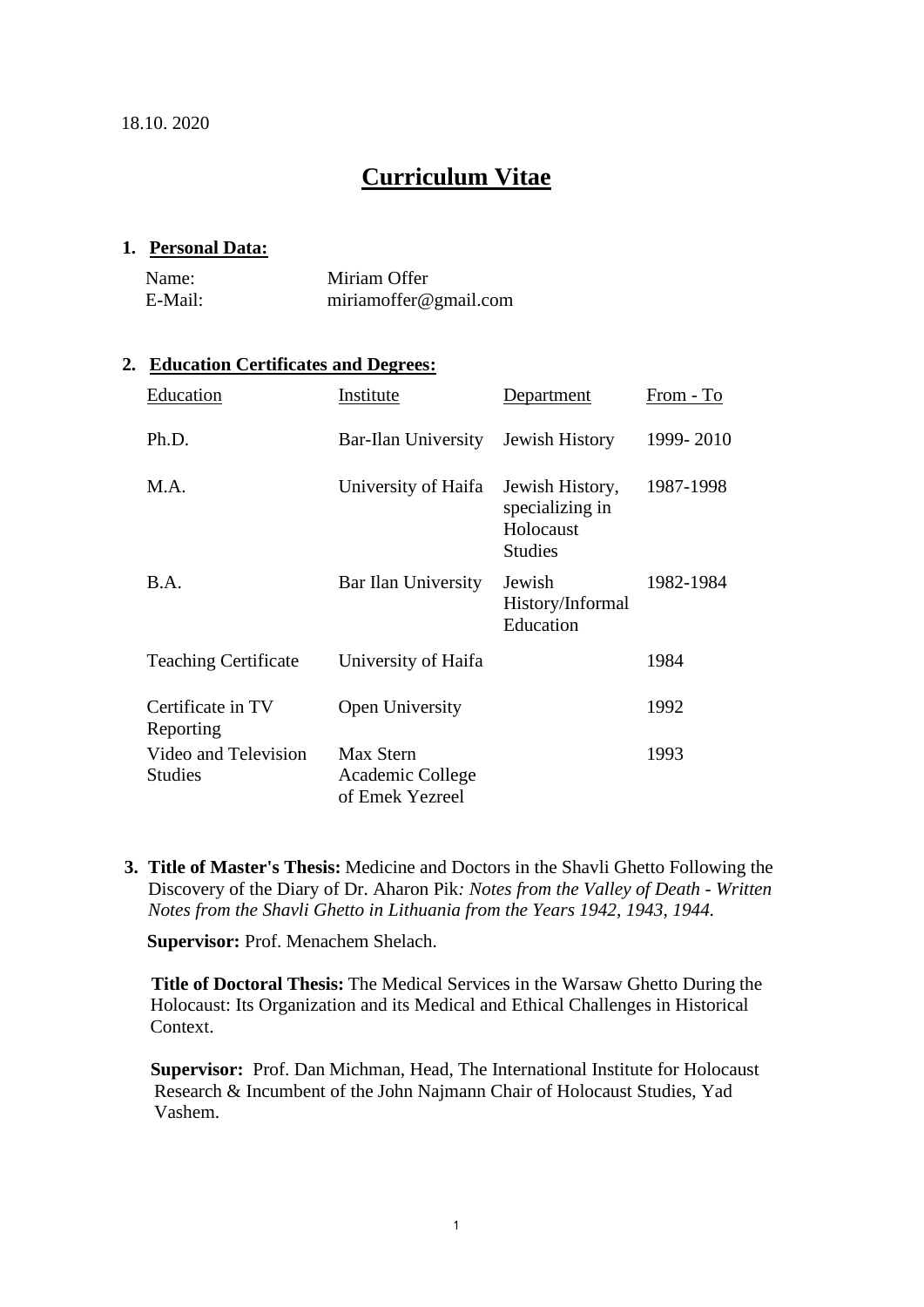18.10. 2020

# **Curriculum Vitae**

#### **1. Personal Data:**

| Name:   | Miriam Offer          |
|---------|-----------------------|
| E-Mail: | miriamoffer@gmail.com |

### **2. Education Certificates and Degrees:**

| Education                              | Institute                                        | Department                                                        | From - To |
|----------------------------------------|--------------------------------------------------|-------------------------------------------------------------------|-----------|
| Ph.D.                                  | Bar-Ilan University                              | <b>Jewish History</b>                                             | 1999-2010 |
| M.A.                                   | University of Haifa                              | Jewish History,<br>specializing in<br>Holocaust<br><b>Studies</b> | 1987-1998 |
| <b>B.A.</b>                            | Bar Ilan University                              | Jewish<br>History/Informal<br>Education                           | 1982-1984 |
| <b>Teaching Certificate</b>            | University of Haifa                              |                                                                   | 1984      |
| Certificate in TV<br>Reporting         | Open University                                  |                                                                   | 1992      |
| Video and Television<br><b>Studies</b> | Max Stern<br>Academic College<br>of Emek Yezreel |                                                                   | 1993      |

**3. Title of Master's Thesis:** Medicine and Doctors in the Shavli Ghetto Following the Discovery of the Diary of Dr. Aharon Pik*: Notes from the Valley of Death - Written Notes from the Shavli Ghetto in Lithuania from the Years 1942, 1943, 1944.* 

**Supervisor:** Prof. Menachem Shelach.

**Title of Doctoral Thesis:** The Medical Services in the Warsaw Ghetto During the Holocaust: Its Organization and its Medical and Ethical Challenges in Historical Context.

**Supervisor:** Prof. Dan Michman, Head, The International Institute for Holocaust Research & Incumbent of the John Najmann Chair of Holocaust Studies, Yad Vashem.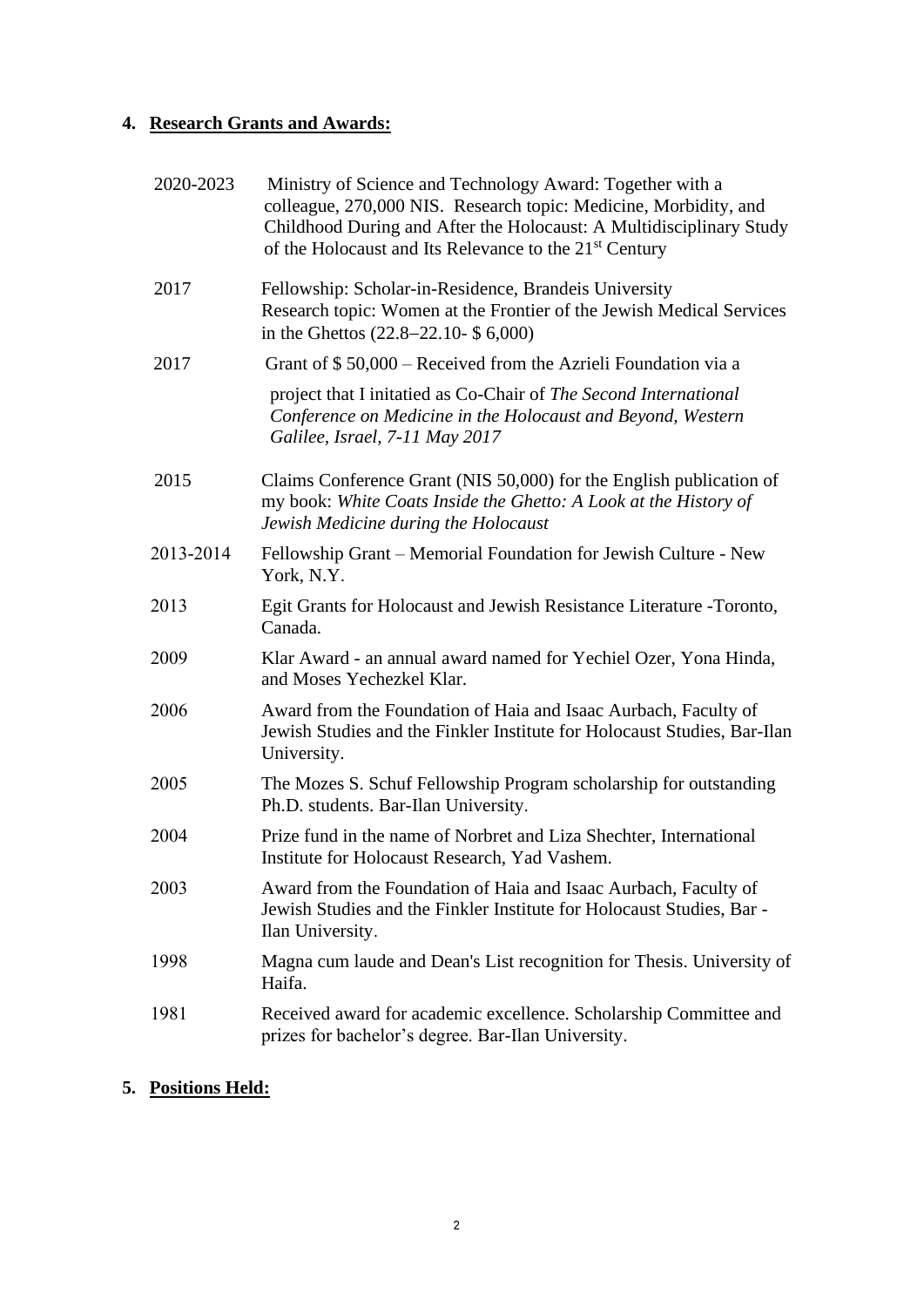# **4. Research Grants and Awards:**

| 2020-2023 | Ministry of Science and Technology Award: Together with a<br>colleague, 270,000 NIS. Research topic: Medicine, Morbidity, and<br>Childhood During and After the Holocaust: A Multidisciplinary Study<br>of the Holocaust and Its Relevance to the 21 <sup>st</sup> Century |
|-----------|----------------------------------------------------------------------------------------------------------------------------------------------------------------------------------------------------------------------------------------------------------------------------|
| 2017      | Fellowship: Scholar-in-Residence, Brandeis University<br>Research topic: Women at the Frontier of the Jewish Medical Services<br>in the Ghettos $(22.8-22.10-$ \$ 6,000)                                                                                                   |
| 2017      | Grant of $$50,000$ – Received from the Azrieli Foundation via a                                                                                                                                                                                                            |
|           | project that I initatied as Co-Chair of The Second International<br>Conference on Medicine in the Holocaust and Beyond, Western<br>Galilee, Israel, 7-11 May 2017                                                                                                          |
| 2015      | Claims Conference Grant (NIS 50,000) for the English publication of<br>my book: White Coats Inside the Ghetto: A Look at the History of<br>Jewish Medicine during the Holocaust                                                                                            |
| 2013-2014 | Fellowship Grant – Memorial Foundation for Jewish Culture - New<br>York, N.Y.                                                                                                                                                                                              |
| 2013      | Egit Grants for Holocaust and Jewish Resistance Literature -Toronto,<br>Canada.                                                                                                                                                                                            |
| 2009      | Klar Award - an annual award named for Yechiel Ozer, Yona Hinda,<br>and Moses Yechezkel Klar.                                                                                                                                                                              |
| 2006      | Award from the Foundation of Haia and Isaac Aurbach, Faculty of<br>Jewish Studies and the Finkler Institute for Holocaust Studies, Bar-Ilan<br>University.                                                                                                                 |
| 2005      | The Mozes S. Schuf Fellowship Program scholarship for outstanding<br>Ph.D. students. Bar-Ilan University.                                                                                                                                                                  |
| 2004      | Prize fund in the name of Norbret and Liza Shechter, International<br>Institute for Holocaust Research, Yad Vashem.                                                                                                                                                        |
| 2003      | Award from the Foundation of Haia and Isaac Aurbach, Faculty of<br>Jewish Studies and the Finkler Institute for Holocaust Studies, Bar -<br>Ilan University.                                                                                                               |
| 1998      | Magna cum laude and Dean's List recognition for Thesis. University of<br>Haifa.                                                                                                                                                                                            |
| 1981      | Received award for academic excellence. Scholarship Committee and<br>prizes for bachelor's degree. Bar-Ilan University.                                                                                                                                                    |

# **5. Positions Held:**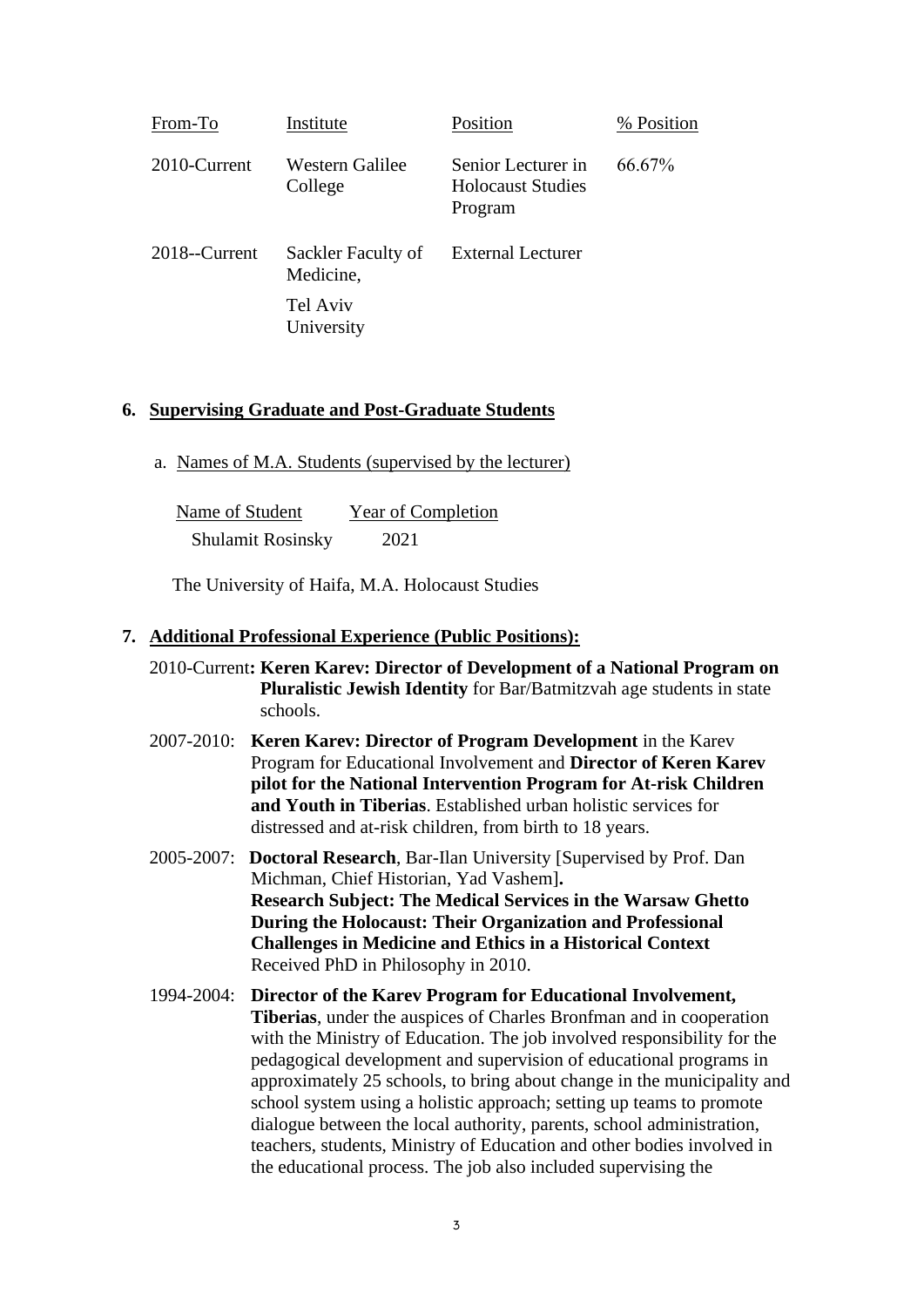| From-To       | Institute                       | Position                                                  | % Position |
|---------------|---------------------------------|-----------------------------------------------------------|------------|
| 2010-Current  | Western Galilee<br>College      | Senior Lecturer in<br><b>Holocaust Studies</b><br>Program | 66.67%     |
| 2018--Current | Sackler Faculty of<br>Medicine, | <b>External Lecturer</b>                                  |            |
|               | Tel Aviv<br>University          |                                                           |            |

#### **6. Supervising Graduate and Post-Graduate Students**

a. Names of M.A. Students (supervised by the lecturer)

| Name of Student          | Year of Completion |
|--------------------------|--------------------|
| <b>Shulamit Rosinsky</b> | 2021               |

The University of Haifa, M.A. Holocaust Studies

#### **7. Additional Professional Experience (Public Positions):**

- 2010-Current**: Keren Karev: Director of Development of a National Program on Pluralistic Jewish Identity** for Bar/Batmitzvah age students in state schools.
- 2007-2010: **Keren Karev: Director of Program Development** in the Karev Program for Educational Involvement and **Director of Keren Karev pilot for the National Intervention Program for At-risk Children and Youth in Tiberias**. Established urban holistic services for distressed and at-risk children, from birth to 18 years.
- 2005-2007: **Doctoral Research**, Bar-Ilan University [Supervised by Prof. Dan Michman, Chief Historian, Yad Vashem]**. Research Subject: The Medical Services in the Warsaw Ghetto During the Holocaust: Their Organization and Professional Challenges in Medicine and Ethics in a Historical Context** Received PhD in Philosophy in 2010.
- 1994-2004: **Director of the Karev Program for Educational Involvement, Tiberias**, under the auspices of Charles Bronfman and in cooperation with the Ministry of Education. The job involved responsibility for the pedagogical development and supervision of educational programs in approximately 25 schools, to bring about change in the municipality and school system using a holistic approach; setting up teams to promote dialogue between the local authority, parents, school administration, teachers, students, Ministry of Education and other bodies involved in the educational process. The job also included supervising the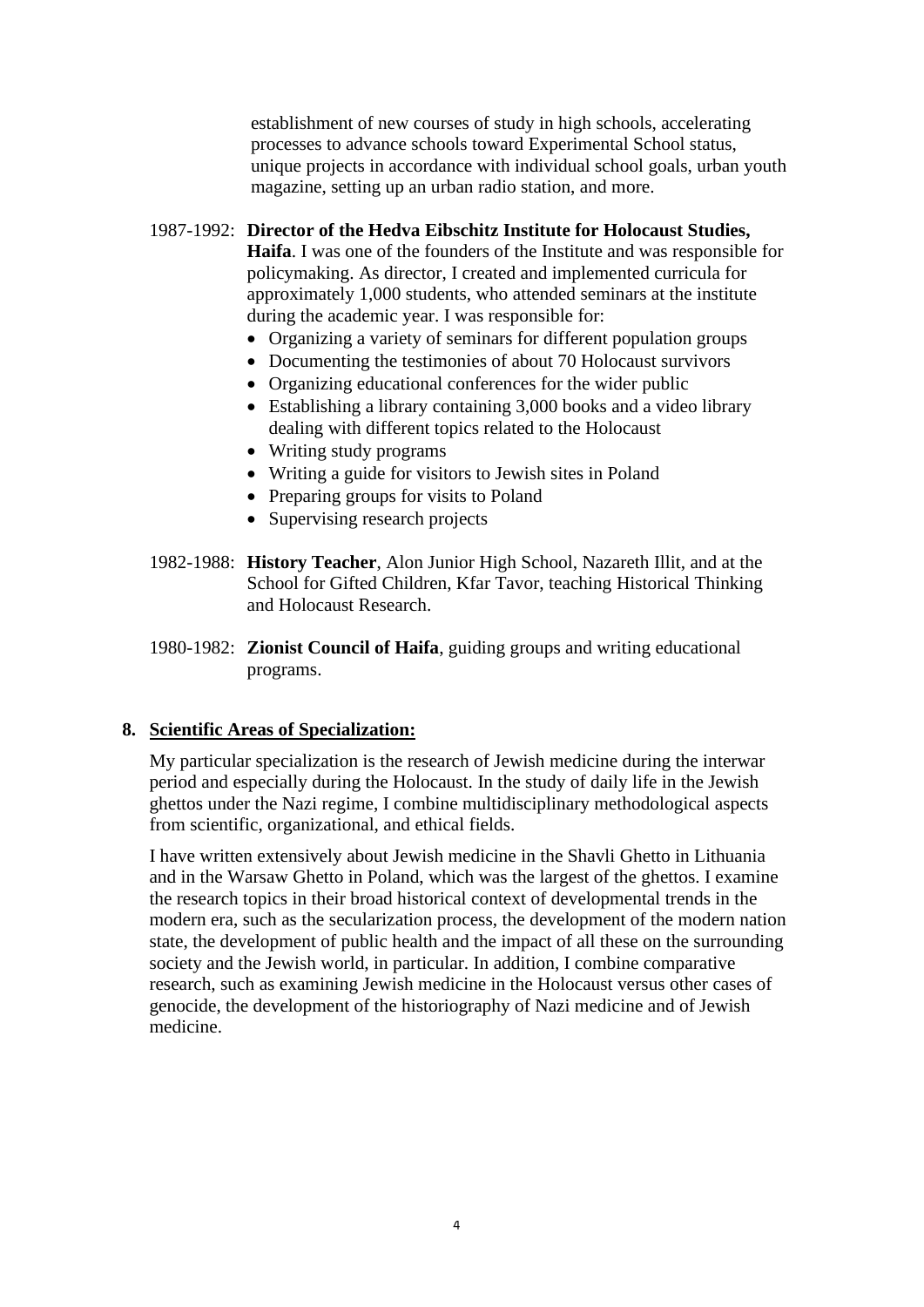establishment of new courses of study in high schools, accelerating processes to advance schools toward Experimental School status, unique projects in accordance with individual school goals, urban youth magazine, setting up an urban radio station, and more.

### 1987-1992: **Director of the Hedva Eibschitz Institute for Holocaust Studies,**

**Haifa**. I was one of the founders of the Institute and was responsible for policymaking. As director, I created and implemented curricula for approximately 1,000 students, who attended seminars at the institute during the academic year. I was responsible for:

- Organizing a variety of seminars for different population groups
- Documenting the testimonies of about 70 Holocaust survivors
- Organizing educational conferences for the wider public
- Establishing a library containing 3,000 books and a video library dealing with different topics related to the Holocaust
- Writing study programs
- Writing a guide for visitors to Jewish sites in Poland
- Preparing groups for visits to Poland
- Supervising research projects
- 1982-1988: **History Teacher**, Alon Junior High School, Nazareth Illit, and at the School for Gifted Children, Kfar Tavor, teaching Historical Thinking and Holocaust Research.
- 1980-1982: **Zionist Council of Haifa**, guiding groups and writing educational programs.

### **8. Scientific Areas of Specialization:**

My particular specialization is the research of Jewish medicine during the interwar period and especially during the Holocaust. In the study of daily life in the Jewish ghettos under the Nazi regime, I combine multidisciplinary methodological aspects from scientific, organizational, and ethical fields.

I have written extensively about Jewish medicine in the Shavli Ghetto in Lithuania and in the Warsaw Ghetto in Poland, which was the largest of the ghettos. I examine the research topics in their broad historical context of developmental trends in the modern era, such as the secularization process, the development of the modern nation state, the development of public health and the impact of all these on the surrounding society and the Jewish world, in particular. In addition, I combine comparative research, such as examining Jewish medicine in the Holocaust versus other cases of genocide, the development of the historiography of Nazi medicine and of Jewish medicine.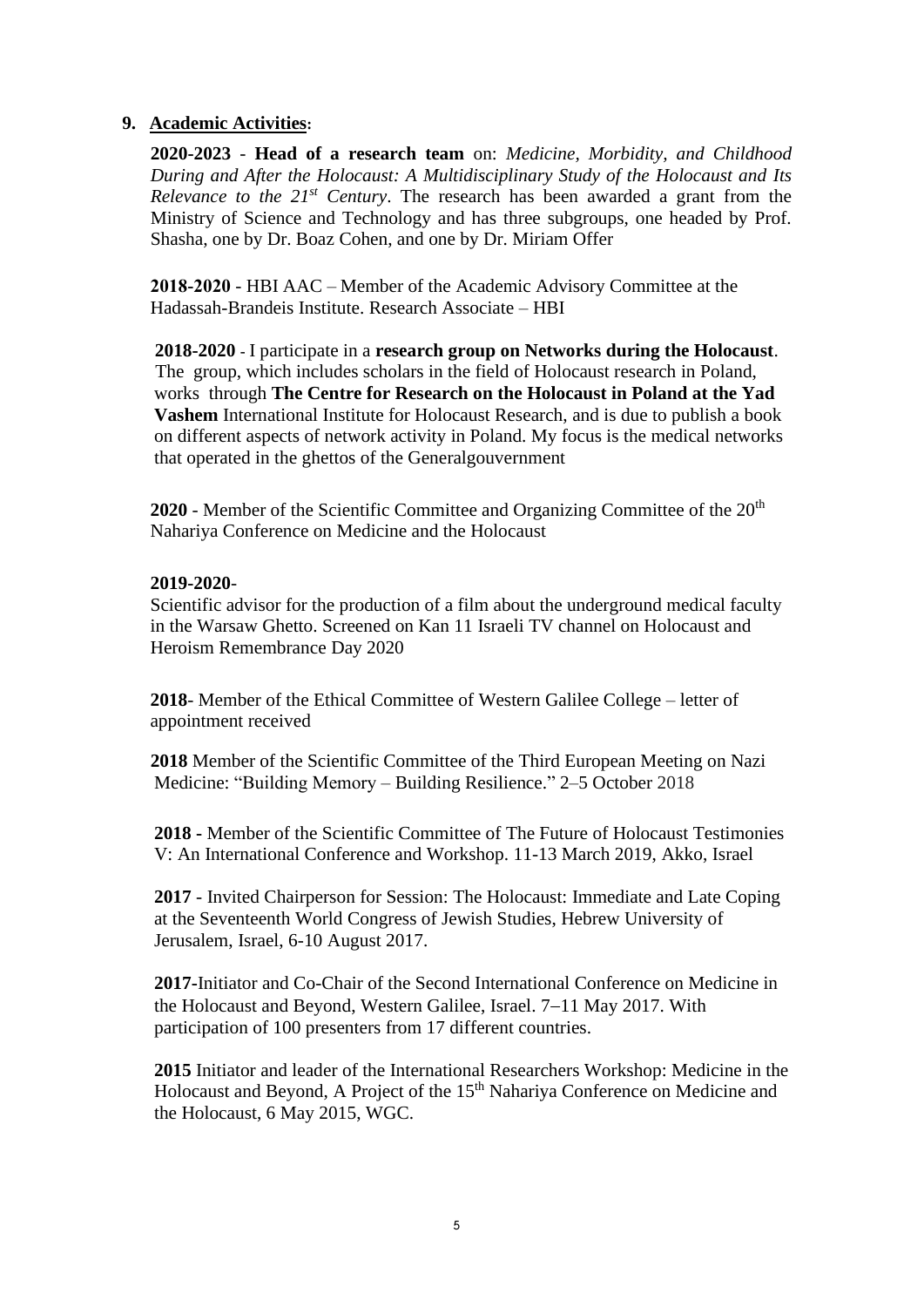### **9. Academic Activities:**

**2020-2023** - **Head of a research team** on: *Medicine, Morbidity, and Childhood During and After the Holocaust: A Multidisciplinary Study of the Holocaust and Its Relevance to the 21st Century*. The research has been awarded a grant from the Ministry of Science and Technology and has three subgroups, one headed by Prof. Shasha, one by Dr. Boaz Cohen, and one by Dr. Miriam Offer

**2018-2020** - HBI AAC – Member of the Academic Advisory Committee at the Hadassah-Brandeis Institute. Research Associate – HBI

**2018-2020 -** I participate in a **research group on Networks during the Holocaust**. The group, which includes scholars in the field of Holocaust research in Poland, works through **The Centre for Research on the Holocaust in Poland at the Yad Vashem** International Institute for Holocaust Research, and is due to publish a book on different aspects of network activity in Poland. My focus is the medical networks that operated in the ghettos of the Generalgouvernment

**2020** - Member of the Scientific Committee and Organizing Committee of the 20<sup>th</sup> Nahariya Conference on Medicine and the Holocaust

### **2019-2020**-

Scientific advisor for the production of a film about the underground medical faculty in the Warsaw Ghetto. Screened on Kan 11 Israeli TV channel on Holocaust and Heroism Remembrance Day 2020

**2018**- Member of the Ethical Committee of Western Galilee College – letter of appointment received

**2018** Member of the Scientific Committee of the Third European Meeting on Nazi Medicine: "Building Memory – Building Resilience." 2–5 October 2018

**2018 -** Member of the Scientific Committee of The Future of Holocaust Testimonies V: An International Conference and Workshop. 11-13 March 2019, Akko, Israel

**2017** - Invited Chairperson for Session: The Holocaust: Immediate and Late Coping at the Seventeenth World Congress of Jewish Studies, Hebrew University of Jerusalem, Israel, 6-10 August 2017.

**2017-**Initiator and Co-Chair of the Second International Conference on Medicine in the Holocaust and Beyond, Western Galilee, Israel. 7−11 May 2017. With participation of 100 presenters from 17 different countries.

**2015** Initiator and leader of the International Researchers Workshop: Medicine in the Holocaust and Beyond, A Project of the 15<sup>th</sup> Nahariya Conference on Medicine and the Holocaust, 6 May 2015, WGC.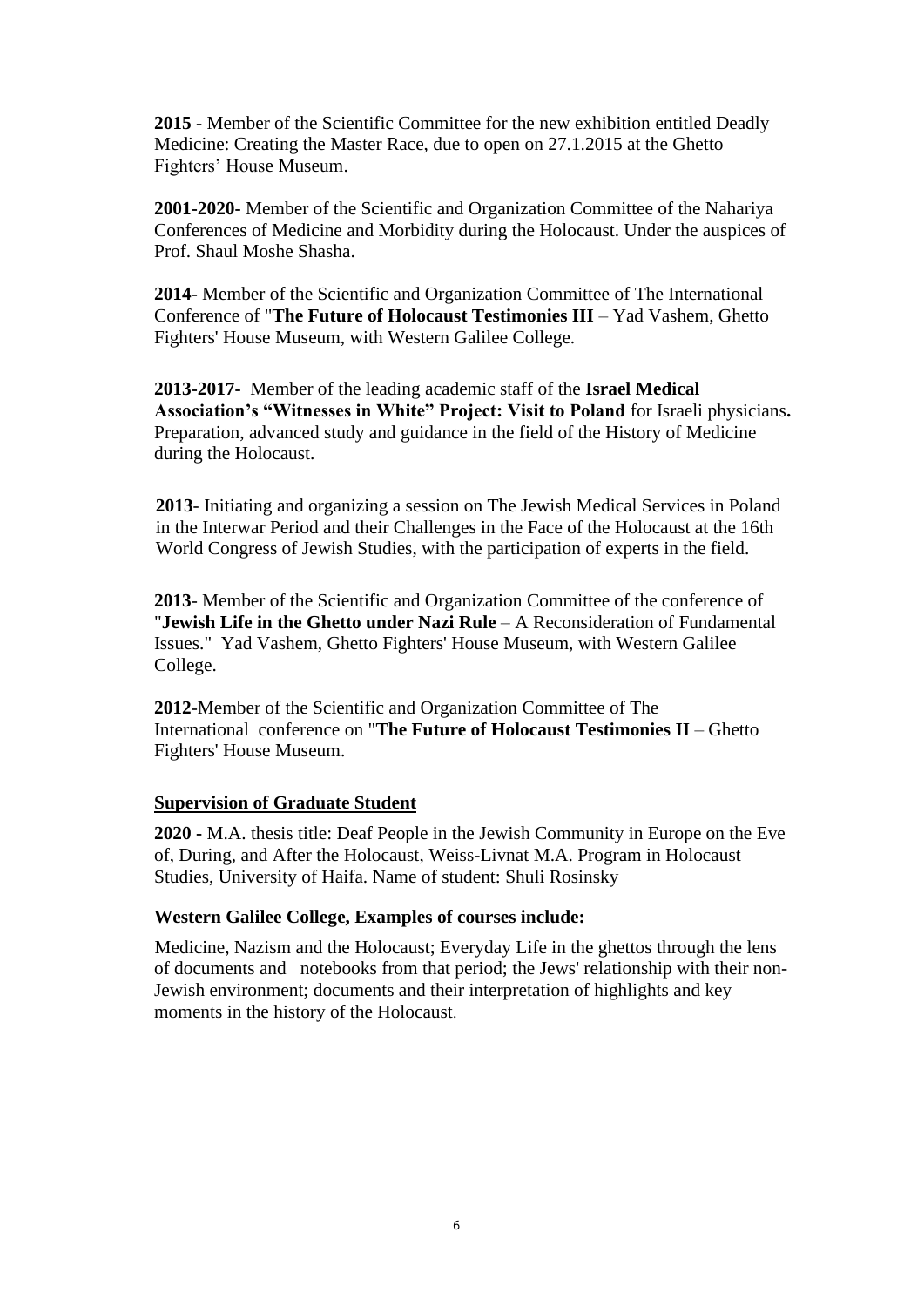**2015** - Member of the Scientific Committee for the new exhibition entitled Deadly Medicine: Creating the Master Race, due to open on 27.1.2015 at the Ghetto Fighters' House Museum.

**2001-2020-** Member of the Scientific and Organization Committee of the Nahariya Conferences of Medicine and Morbidity during the Holocaust. Under the auspices of Prof. Shaul Moshe Shasha.

**2014**- Member of the Scientific and Organization Committee of The International Conference of "**The Future of Holocaust Testimonies III** – Yad Vashem, Ghetto Fighters' House Museum, with Western Galilee College.

**2013-2017-** Member of the leading academic staff of the **Israel Medical Association's "Witnesses in White" Project: Visit to Poland** for Israeli physicians**.**  Preparation, advanced study and guidance in the field of the History of Medicine during the Holocaust.

**2013**- Initiating and organizing a session on The Jewish Medical Services in Poland in the Interwar Period and their Challenges in the Face of the Holocaust at the 16th World Congress of Jewish Studies, with the participation of experts in the field.

**2013**- Member of the Scientific and Organization Committee of the conference of "**Jewish Life in the Ghetto under Nazi Rule** – A Reconsideration of Fundamental Issues." Yad Vashem, Ghetto Fighters' House Museum, with Western Galilee College.

**2012**-Member of the Scientific and Organization Committee of The International conference on "**The Future of Holocaust Testimonies II** – Ghetto Fighters' House Museum.

### **Supervision of Graduate Student**

**2020 -** M.A. thesis title: Deaf People in the Jewish Community in Europe on the Eve of, During, and After the Holocaust, Weiss-Livnat M.A. Program in Holocaust Studies, University of Haifa. Name of student: Shuli Rosinsky

### **Western Galilee College, Examples of courses include:**

Medicine, Nazism and the Holocaust; Everyday Life in the ghettos through the lens of documents and notebooks from that period; the Jews' relationship with their non-Jewish environment; documents and their interpretation of highlights and key moments in the history of the Holocaust.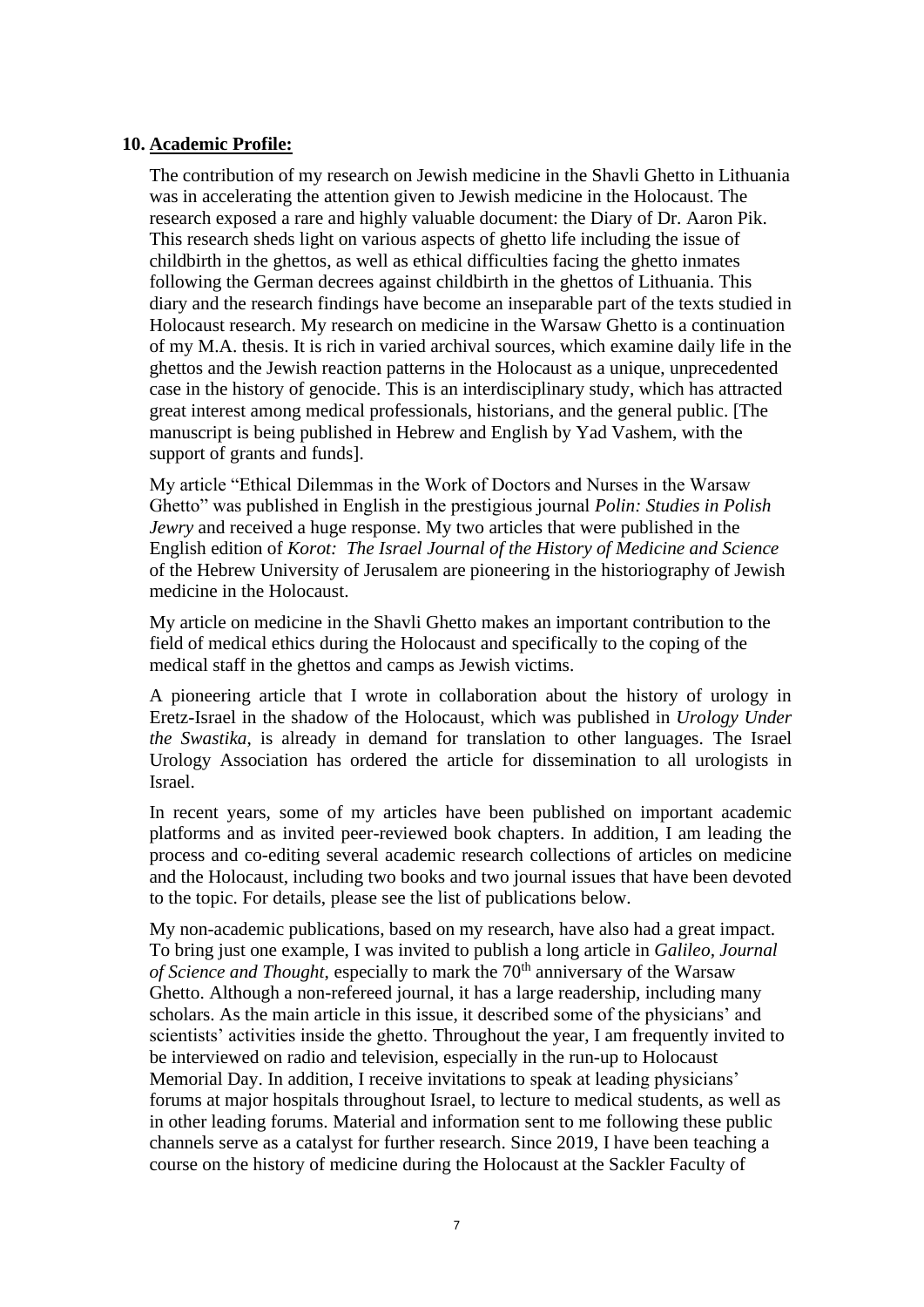### **10. Academic Profile:**

The contribution of my research on Jewish medicine in the Shavli Ghetto in Lithuania was in accelerating the attention given to Jewish medicine in the Holocaust. The research exposed a rare and highly valuable document: the Diary of Dr. Aaron Pik. This research sheds light on various aspects of ghetto life including the issue of childbirth in the ghettos, as well as ethical difficulties facing the ghetto inmates following the German decrees against childbirth in the ghettos of Lithuania. This diary and the research findings have become an inseparable part of the texts studied in Holocaust research. My research on medicine in the Warsaw Ghetto is a continuation of my M.A. thesis. It is rich in varied archival sources, which examine daily life in the ghettos and the Jewish reaction patterns in the Holocaust as a unique, unprecedented case in the history of genocide. This is an interdisciplinary study, which has attracted great interest among medical professionals, historians, and the general public. [The manuscript is being published in Hebrew and English by Yad Vashem, with the support of grants and funds].

My article "Ethical Dilemmas in the Work of Doctors and Nurses in the Warsaw Ghetto" was published in English in the prestigious journal *Polin: Studies in Polish Jewry* and received a huge response. My two articles that were published in the English edition of *Korot: The Israel Journal of the History of Medicine and Science* of the Hebrew University of Jerusalem are pioneering in the historiography of Jewish medicine in the Holocaust.

My article on medicine in the Shavli Ghetto makes an important contribution to the field of medical ethics during the Holocaust and specifically to the coping of the medical staff in the ghettos and camps as Jewish victims.

A pioneering article that I wrote in collaboration about the history of urology in Eretz-Israel in the shadow of the Holocaust, which was published in *Urology Under the Swastika*, is already in demand for translation to other languages. The Israel Urology Association has ordered the article for dissemination to all urologists in Israel.

In recent years, some of my articles have been published on important academic platforms and as invited peer-reviewed book chapters. In addition, I am leading the process and co-editing several academic research collections of articles on medicine and the Holocaust, including two books and two journal issues that have been devoted to the topic. For details, please see the list of publications below.

My non-academic publications, based on my research, have also had a great impact. To bring just one example, I was invited to publish a long article in *Galileo, Journal of Science and Thought*, especially to mark the 70<sup>th</sup> anniversary of the Warsaw Ghetto. Although a non-refereed journal, it has a large readership, including many scholars. As the main article in this issue, it described some of the physicians' and scientists' activities inside the ghetto. Throughout the year, I am frequently invited to be interviewed on radio and television, especially in the run-up to Holocaust Memorial Day. In addition, I receive invitations to speak at leading physicians' forums at major hospitals throughout Israel, to lecture to medical students, as well as in other leading forums. Material and information sent to me following these public channels serve as a catalyst for further research. Since 2019, I have been teaching a course on the history of medicine during the Holocaust at the Sackler Faculty of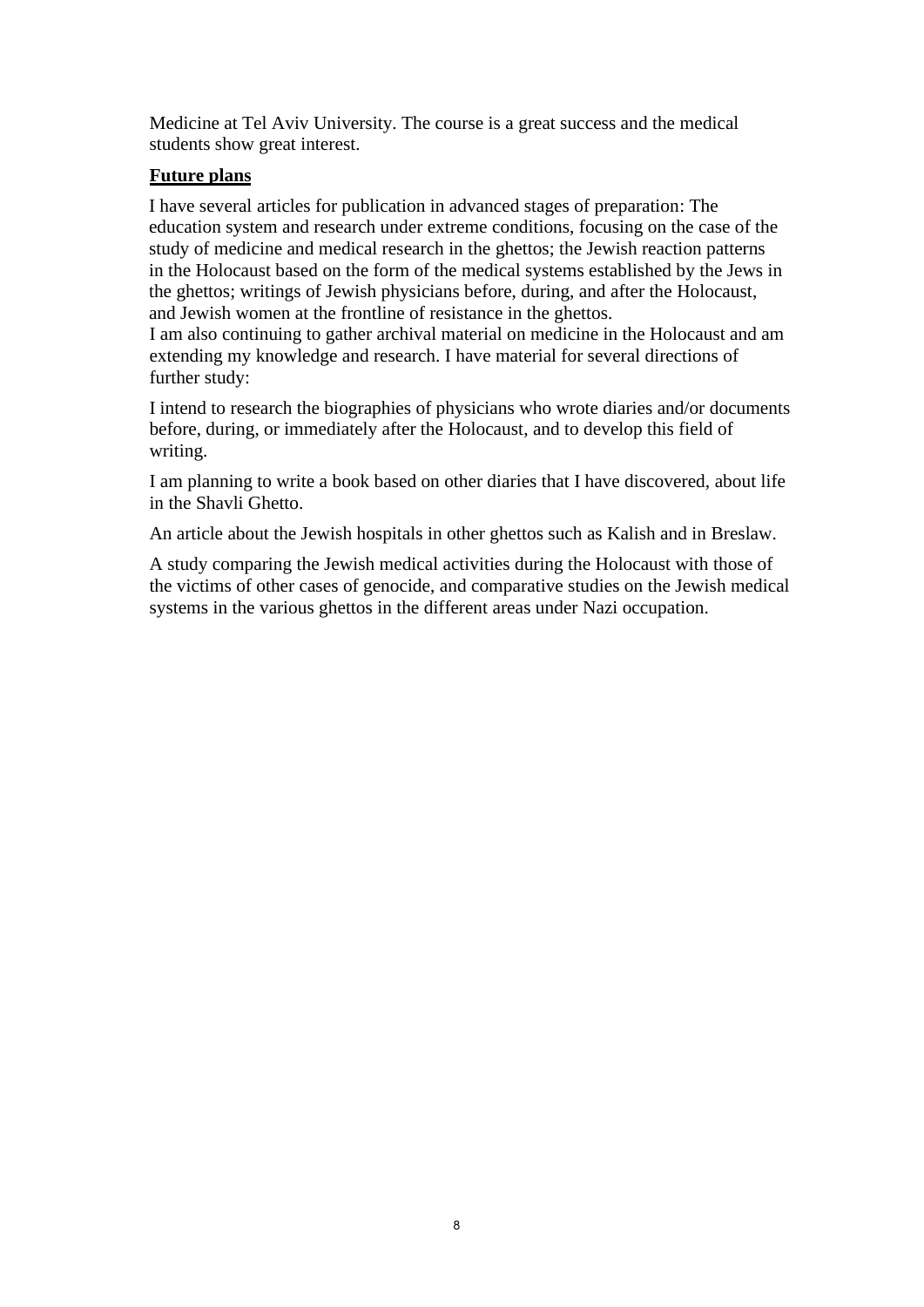Medicine at Tel Aviv University. The course is a great success and the medical students show great interest.

# **Future plans**

 I have several articles for publication in advanced stages of preparation: The education system and research under extreme conditions, focusing on the case of the study of medicine and medical research in the ghettos; the Jewish reaction patterns in the Holocaust based on the form of the medical systems established by the Jews in the ghettos; writings of Jewish physicians before, during, and after the Holocaust, and Jewish women at the frontline of resistance in the ghettos.

I am also continuing to gather archival material on medicine in the Holocaust and am extending my knowledge and research. I have material for several directions of further study:

I intend to research the biographies of physicians who wrote diaries and/or documents before, during, or immediately after the Holocaust, and to develop this field of writing.

I am planning to write a book based on other diaries that I have discovered, about life in the Shavli Ghetto.

An article about the Jewish hospitals in other ghettos such as Kalish and in Breslaw.

A study comparing the Jewish medical activities during the Holocaust with those of the victims of other cases of genocide, and comparative studies on the Jewish medical systems in the various ghettos in the different areas under Nazi occupation.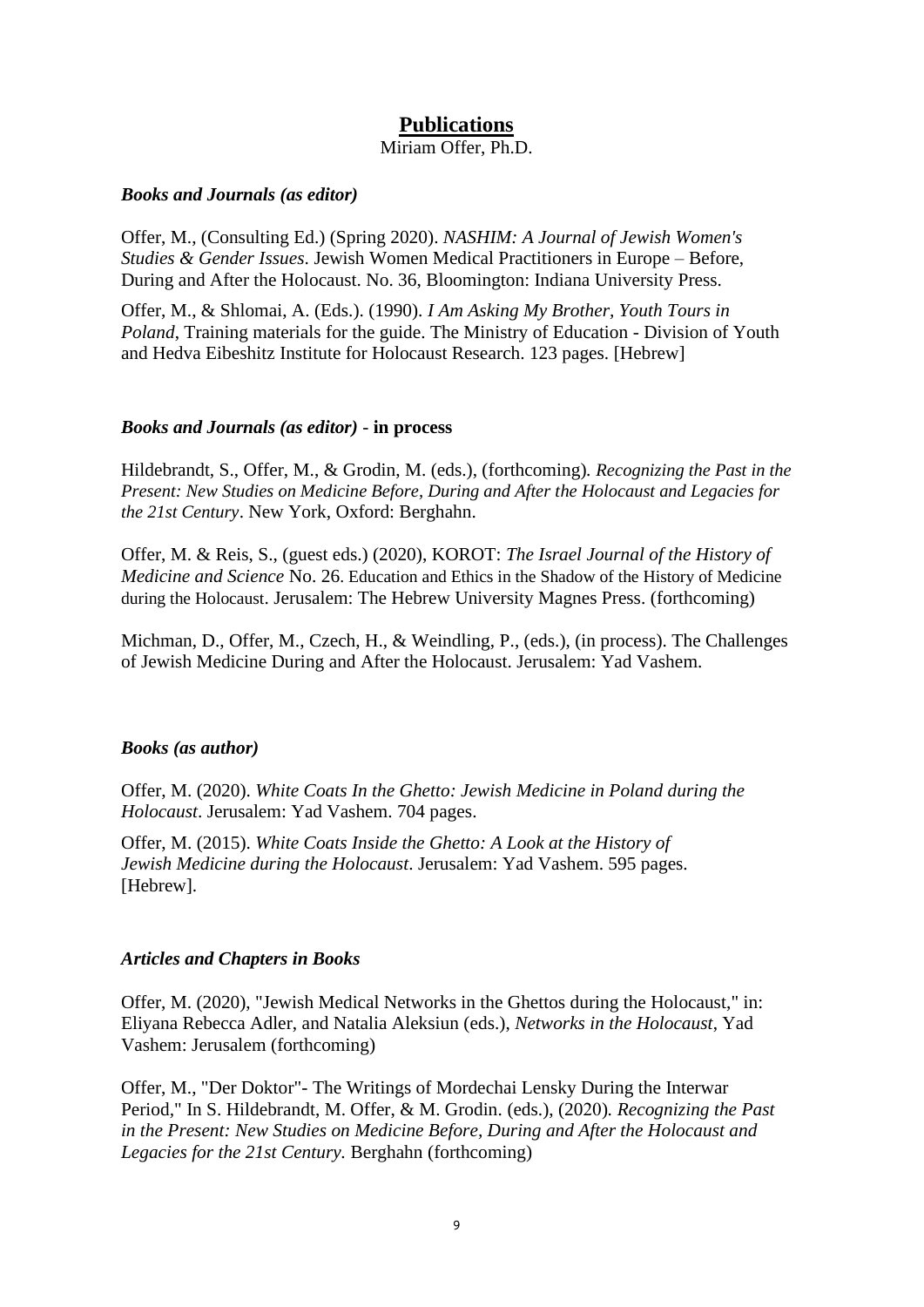# **Publications**

Miriam Offer, Ph.D.

#### *Books and Journals (as editor)*

Offer, M., (Consulting Ed.) (Spring 2020). *NASHIM: A Journal of Jewish Women's Studies & Gender Issues*. Jewish Women Medical Practitioners in Europe – Before, During and After the Holocaust. No. 36, Bloomington: Indiana University Press.

Offer, M., & Shlomai, A. (Eds.). (1990). *I Am Asking My Brother, Youth Tours in Poland*, Training materials for the guide. The Ministry of Education - Division of Youth and Hedva Eibeshitz Institute for Holocaust Research. 123 pages. [Hebrew]

#### *Books and Journals (as editor)* - **in process**

Hildebrandt, S., Offer, M., & Grodin, M. (eds.), (forthcoming)*. Recognizing the Past in the Present: New Studies on Medicine Before, During and After the Holocaust and Legacies for the 21st Century*. New York, Oxford: Berghahn.

Offer, M. & Reis, S., (guest eds.) (2020), KOROT: *The Israel Journal of the History of Medicine and Science* No. 26. Education and Ethics in the Shadow of the History of Medicine during the Holocaust. Jerusalem: The Hebrew University Magnes Press. (forthcoming)

Michman, D., Offer, M., Czech, H., & Weindling, P., (eds.), (in process). The Challenges of Jewish Medicine During and After the Holocaust. Jerusalem: Yad Vashem.

#### *Books (as author)*

Offer, M. (2020). *White Coats In the Ghetto: Jewish Medicine in Poland during the Holocaust*. Jerusalem: Yad Vashem. 704 pages.

Offer, M. (2015). *White Coats Inside the Ghetto: A Look at the History of Jewish Medicine during the Holocaust*. Jerusalem: Yad Vashem. 595 pages. [Hebrew].

### *Articles and Chapters in Books*

Offer, M. (2020), "Jewish Medical Networks in the Ghettos during the Holocaust," in: Eliyana Rebecca Adler, and Natalia Aleksiun (eds.), *Networks in the Holocaust*, Yad Vashem: Jerusalem (forthcoming)

Offer, M., "Der Doktor"- The Writings of Mordechai Lensky During the Interwar Period*,*" In S. Hildebrandt, M. Offer, & M. Grodin. (eds.), (2020)*. Recognizing the Past in the Present: New Studies on Medicine Before, During and After the Holocaust and Legacies for the 21st Century.* Berghahn (forthcoming)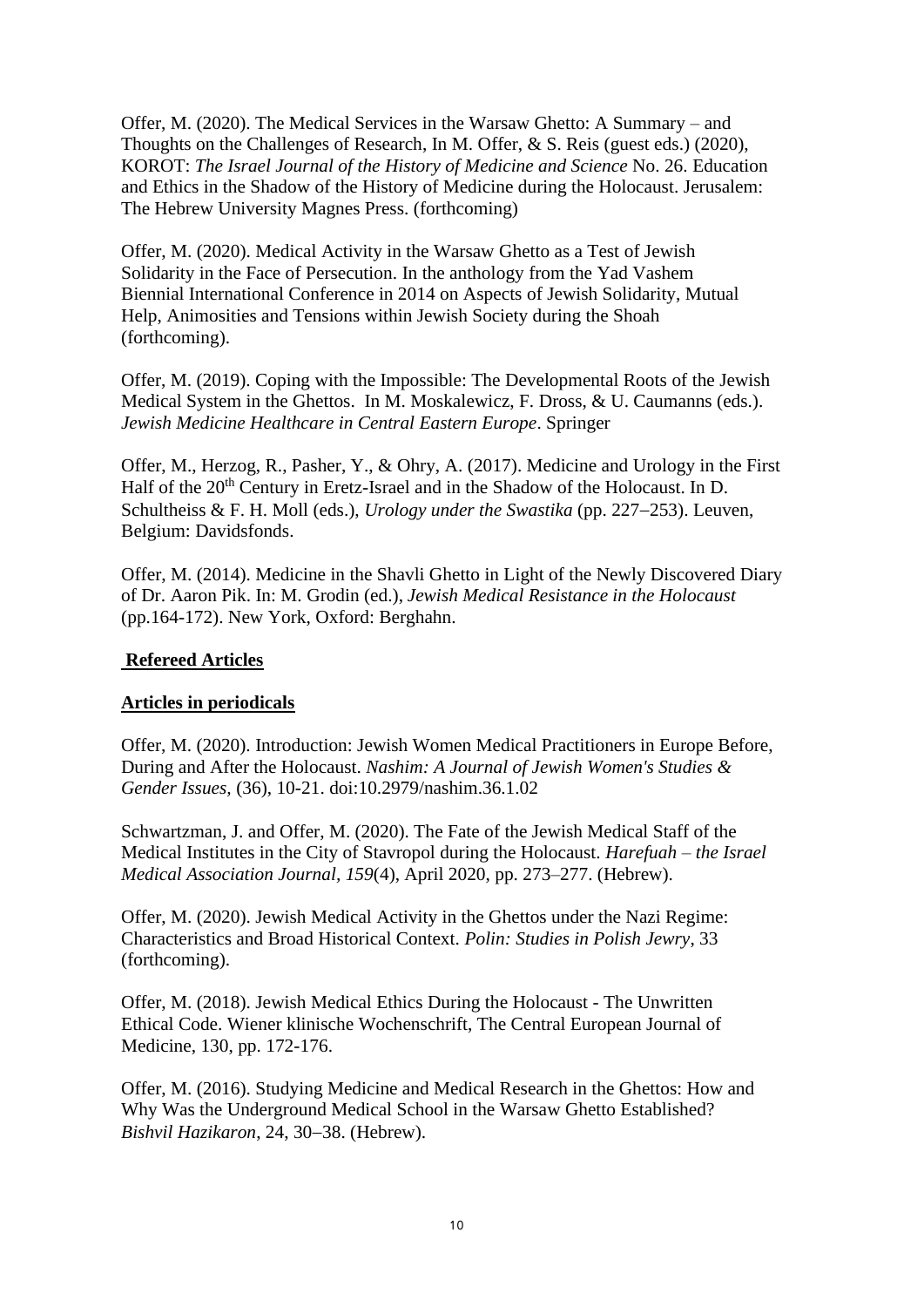Offer, M. (2020). The Medical Services in the Warsaw Ghetto: A Summary – and Thoughts on the Challenges of Research, In M. Offer, & S. Reis (guest eds.) (2020), KOROT: *The Israel Journal of the History of Medicine and Science* No. 26. Education and Ethics in the Shadow of the History of Medicine during the Holocaust. Jerusalem: The Hebrew University Magnes Press. (forthcoming)

Offer, M. (2020). Medical Activity in the Warsaw Ghetto as a Test of Jewish Solidarity in the Face of Persecution. In the anthology from the Yad Vashem Biennial International Conference in 2014 on Aspects of Jewish Solidarity, Mutual Help, Animosities and Tensions within Jewish Society during the Shoah (forthcoming).

Offer, M. (2019). Coping with the Impossible: The Developmental Roots of the Jewish Medical System in the Ghettos. In M. Moskalewicz, F. Dross, & U. Caumanns (eds.). *Jewish Medicine Healthcare in Central Eastern Europe*. Springer

Offer, M., Herzog, R., Pasher, Y., & Ohry, A. (2017). Medicine and Urology in the First Half of the  $20<sup>th</sup>$  Century in Eretz-Israel and in the Shadow of the Holocaust. In D. Schultheiss & F. H. Moll (eds.), *Urology under the Swastika* (pp. 227−253). Leuven, Belgium: Davidsfonds.

Offer, M. (2014). Medicine in the Shavli Ghetto in Light of the Newly Discovered Diary of Dr. Aaron Pik. In: M. Grodin (ed.), *Jewish Medical Resistance in the Holocaust* (pp.164-172). New York, Oxford: Berghahn.

## **Refereed Articles**

## **Articles in periodicals**

Offer, M. (2020). Introduction: Jewish Women Medical Practitioners in Europe Before, During and After the Holocaust. *Nashim: A Journal of Jewish Women's Studies & Gender Issues,* (36), 10-21. doi:10.2979/nashim.36.1.02

Schwartzman, J. and Offer, M. (2020). The Fate of the Jewish Medical Staff of the Medical Institutes in the City of Stavropol during the Holocaust. *Harefuah – the Israel Medical Association Journal, 159*(4), April 2020, pp. 273–277. (Hebrew).

Offer, M. (2020). Jewish Medical Activity in the Ghettos under the Nazi Regime: Characteristics and Broad Historical Context. *Polin: Studies in Polish Jewry*, 33 (forthcoming).

Offer, M. (2018). Jewish Medical Ethics During the Holocaust - The Unwritten Ethical Code. Wiener klinische Wochenschrift, The Central European Journal of Medicine, 130, pp. 172-176.

Offer, M. (2016). Studying Medicine and Medical Research in the Ghettos: How and Why Was the Underground Medical School in the Warsaw Ghetto Established? *Bishvil Hazikaron*, 24, 30−38. (Hebrew).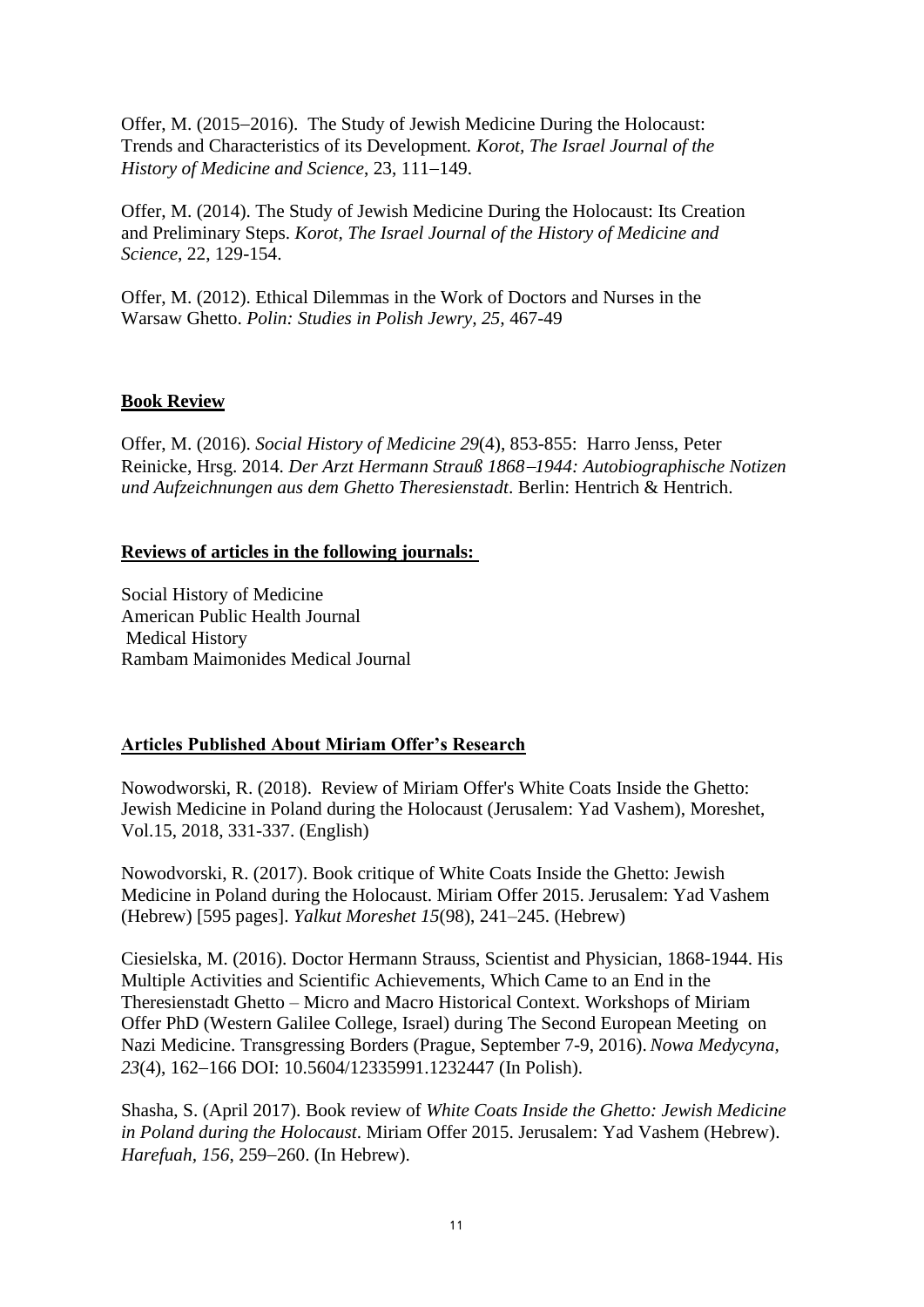Offer, M. (2015−2016). The Study of Jewish Medicine During the Holocaust: Trends and Characteristics of its Development*. Korot, The Israel Journal of the History of Medicine and Science*, 23, 111−149.

Offer, M. (2014). The Study of Jewish Medicine During the Holocaust: Its Creation and Preliminary Steps. *Korot, The Israel Journal of the History of Medicine and Science*, 22, 129-154.

Offer, M. (2012). Ethical Dilemmas in the Work of Doctors and Nurses in the Warsaw Ghetto. *Polin: Studies in Polish Jewry, 25,* 467-49

#### **Book Review**

Offer, M. (2016). *Social History of Medicine 29*(4), 853-855: Harro Jenss, Peter Reinicke, Hrsg. 2014. *Der Arzt Hermann Strauß 1868*−*1944: Autobiographische Notizen und Aufzeichnungen aus dem Ghetto Theresienstadt*. Berlin: Hentrich & Hentrich.

#### **Reviews of articles in the following journals:**

Social History of Medicine American Public Health Journal Medical History Rambam Maimonides Medical Journal

### **Articles Published About Miriam Offer's Research**

Nowodworski, R. (2018). Review of Miriam Offer's White Coats Inside the Ghetto: Jewish Medicine in Poland during the Holocaust (Jerusalem: Yad Vashem), Moreshet, Vol.15, 2018, 331-337. (English)

Nowodvorski, R. (2017). Book critique of White Coats Inside the Ghetto: Jewish Medicine in Poland during the Holocaust. Miriam Offer 2015. Jerusalem: Yad Vashem (Hebrew) [595 pages]. *Yalkut Moreshet 15*(98), 241–245. (Hebrew)

Ciesielska, M. (2016). Doctor Hermann Strauss, Scientist and Physician, 1868-1944. His Multiple Activities and Scientific Achievements, Which Came to an End in the Theresienstadt Ghetto – Micro and Macro Historical Context. Workshops of Miriam Offer PhD (Western Galilee College, Israel) during The Second European Meeting on Nazi Medicine. Transgressing Borders (Prague, September 7-9, 2016). *Nowa Medycyna,*  23<sup>(4)</sup>, 162–166 DOI: 10.5604/12335991.1232447 (In Polish).

Shasha, S. (April 2017). Book review of *White Coats Inside the Ghetto: Jewish Medicine in Poland during the Holocaust*. Miriam Offer 2015. Jerusalem: Yad Vashem (Hebrew). *Harefuah, 156*, 259−260. (In Hebrew).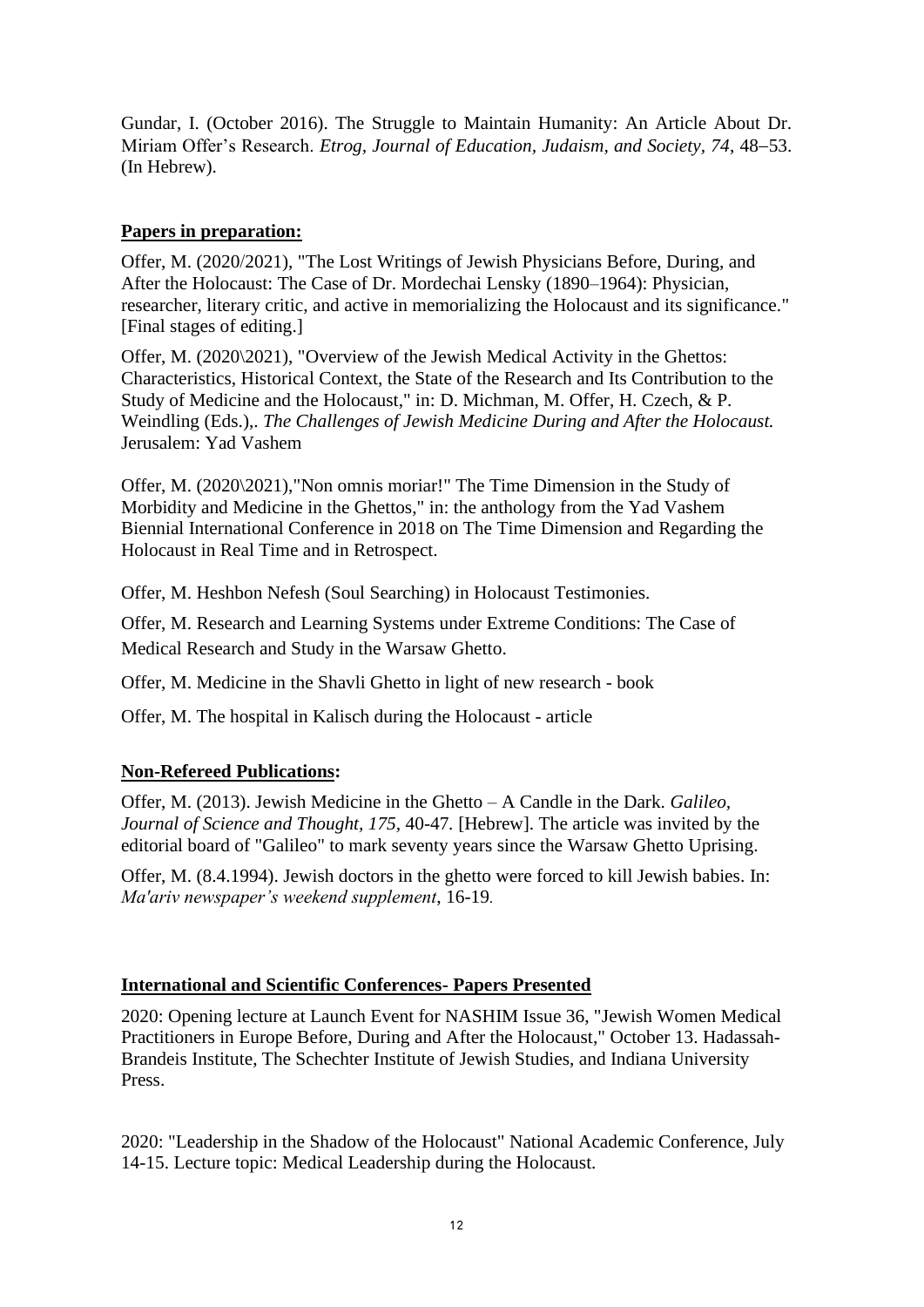Gundar, I. (October 2016). The Struggle to Maintain Humanity: An Article About Dr. Miriam Offer's Research. *Etrog, Journal of Education, Judaism, and Society, 74*, 48−53. (In Hebrew).

# **Papers in preparation:**

Offer, M. (2020/2021), "The Lost Writings of Jewish Physicians Before, During, and After the Holocaust: The Case of Dr. Mordechai Lensky (1890–1964): Physician, researcher, literary critic, and active in memorializing the Holocaust and its significance." [Final stages of editing.]

Offer, M. (2020\2021), "Overview of the Jewish Medical Activity in the Ghettos: Characteristics, Historical Context, the State of the Research and Its Contribution to the Study of Medicine and the Holocaust," in: D. Michman, M. Offer, H. Czech, & P. Weindling (Eds.),. *The Challenges of Jewish Medicine During and After the Holocaust.* Jerusalem: Yad Vashem

Offer, M. (2020\2021),"Non omnis moriar!" The Time Dimension in the Study of Morbidity and Medicine in the Ghettos," in: the anthology from the Yad Vashem Biennial International Conference in 2018 on The Time Dimension and Regarding the Holocaust in Real Time and in Retrospect.

Offer, M. Heshbon Nefesh (Soul Searching) in Holocaust Testimonies.

Offer, M. Research and Learning Systems under Extreme Conditions: The Case of Medical Research and Study in the Warsaw Ghetto.

Offer, M. Medicine in the Shavli Ghetto in light of new research - book

Offer, M. The hospital in Kalisch during the Holocaust - article

## **Non-Refereed Publications:**

Offer, M. (2013). Jewish Medicine in the Ghetto – A Candle in the Dark. *Galileo, Journal of Science and Thought, 175,* 40-47*.* [Hebrew]. The article was invited by the editorial board of "Galileo" to mark seventy years since the Warsaw Ghetto Uprising.

Offer, M. (8.4.1994). Jewish doctors in the ghetto were forced to kill Jewish babies. In: *Ma'ariv newspaper's weekend supplement*, 16-19.

## **International and Scientific Conferences- Papers Presented**

2020: Opening lecture at Launch Event for NASHIM Issue 36, "Jewish Women Medical Practitioners in Europe Before, During and After the Holocaust," October 13. Hadassah-Brandeis Institute, The Schechter Institute of Jewish Studies, and Indiana University Press.

2020: "Leadership in the Shadow of the Holocaust" National Academic Conference, July 14-15. Lecture topic: Medical Leadership during the Holocaust.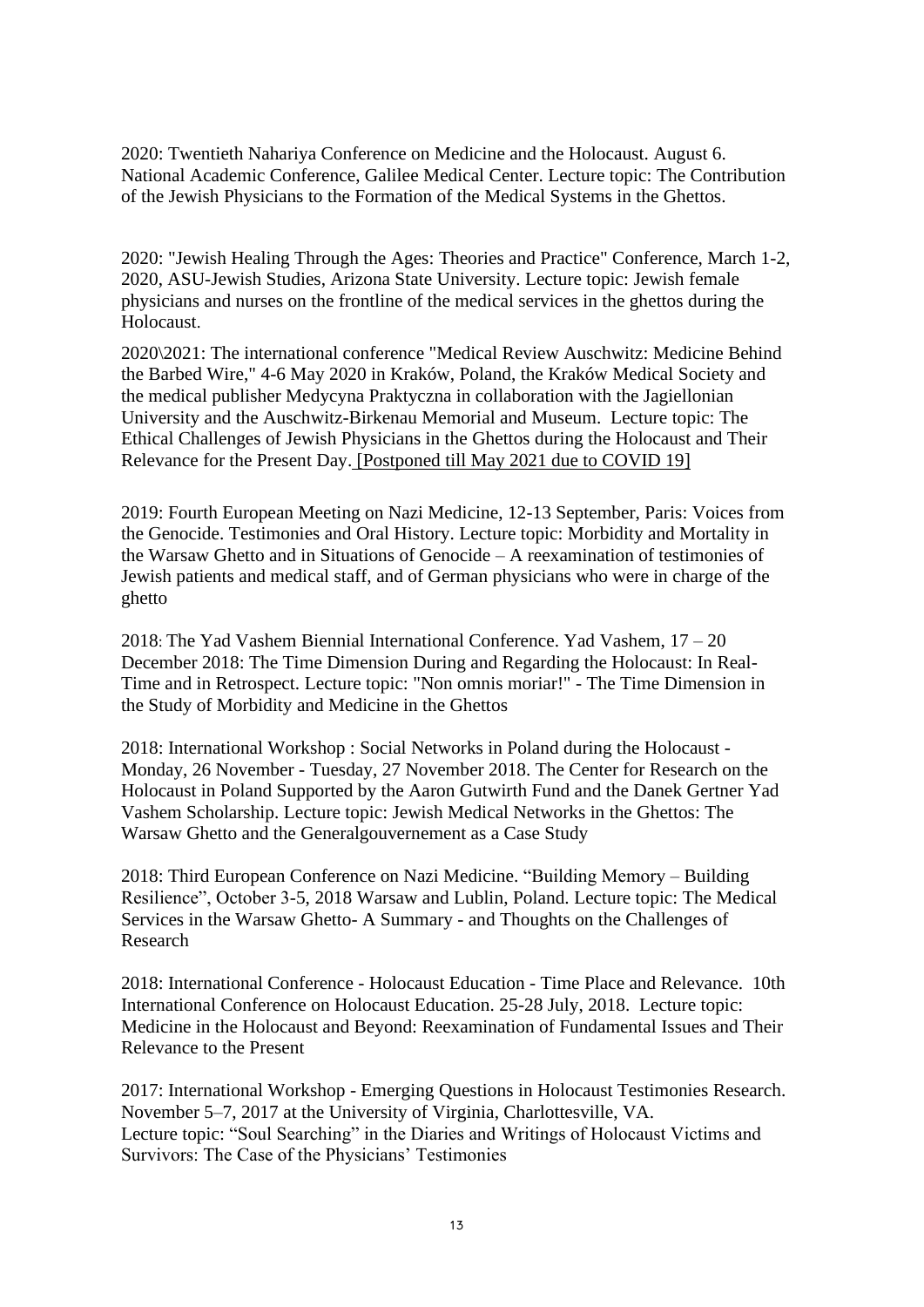2020: Twentieth Nahariya Conference on Medicine and the Holocaust. August 6. National Academic Conference, Galilee Medical Center. Lecture topic: The Contribution of the Jewish Physicians to the Formation of the Medical Systems in the Ghettos.

2020: "Jewish Healing Through the Ages: Theories and Practice" Conference, March 1-2, 2020, ASU-Jewish Studies, Arizona State University. Lecture topic: Jewish female physicians and nurses on the frontline of the medical services in the ghettos during the Holocaust.

2020\2021: The international conference "Medical Review Auschwitz: Medicine Behind the Barbed Wire," 4-6 May 2020 in Kraków, Poland, the Kraków Medical Society and the medical publisher Medycyna Praktyczna in collaboration with the Jagiellonian University and the Auschwitz-Birkenau Memorial and Museum. Lecture topic: The Ethical Challenges of Jewish Physicians in the Ghettos during the Holocaust and Their Relevance for the Present Day. [Postponed till May 2021 due to COVID 19]

2019: Fourth European Meeting on Nazi Medicine, 12-13 September, Paris: Voices from the Genocide. Testimonies and Oral History. Lecture topic: Morbidity and Mortality in the Warsaw Ghetto and in Situations of Genocide – A reexamination of testimonies of Jewish patients and medical staff, and of German physicians who were in charge of the ghetto

2018: The Yad Vashem Biennial International Conference. Yad Vashem, 17 – 20 December 2018: The Time Dimension During and Regarding the Holocaust: In Real-Time and in Retrospect. Lecture topic: "Non omnis moriar!" - The Time Dimension in the Study of Morbidity and Medicine in the Ghettos

2018: International Workshop : Social Networks in Poland during the Holocaust - Monday, 26 November - Tuesday, 27 November 2018. The Center for Research on the Holocaust in Poland Supported by the Aaron Gutwirth Fund and the Danek Gertner Yad Vashem Scholarship. Lecture topic: Jewish Medical Networks in the Ghettos: The Warsaw Ghetto and the Generalgouvernement as a Case Study

2018: Third European Conference on Nazi Medicine. "Building Memory – Building Resilience", October 3-5, 2018 Warsaw and Lublin, Poland. Lecture topic: The Medical Services in the Warsaw Ghetto- A Summary - and Thoughts on the Challenges of Research

2018: International Conference - Holocaust Education - Time Place and Relevance. 10th International Conference on Holocaust Education. 25-28 July, 2018. Lecture topic: Medicine in the Holocaust and Beyond: Reexamination of Fundamental Issues and Their Relevance to the Present

2017: International Workshop - Emerging Questions in Holocaust Testimonies Research. November 5–7, 2017 at the University of Virginia, Charlottesville, VA. Lecture topic: "Soul Searching" in the Diaries and Writings of Holocaust Victims and Survivors: The Case of the Physicians' Testimonies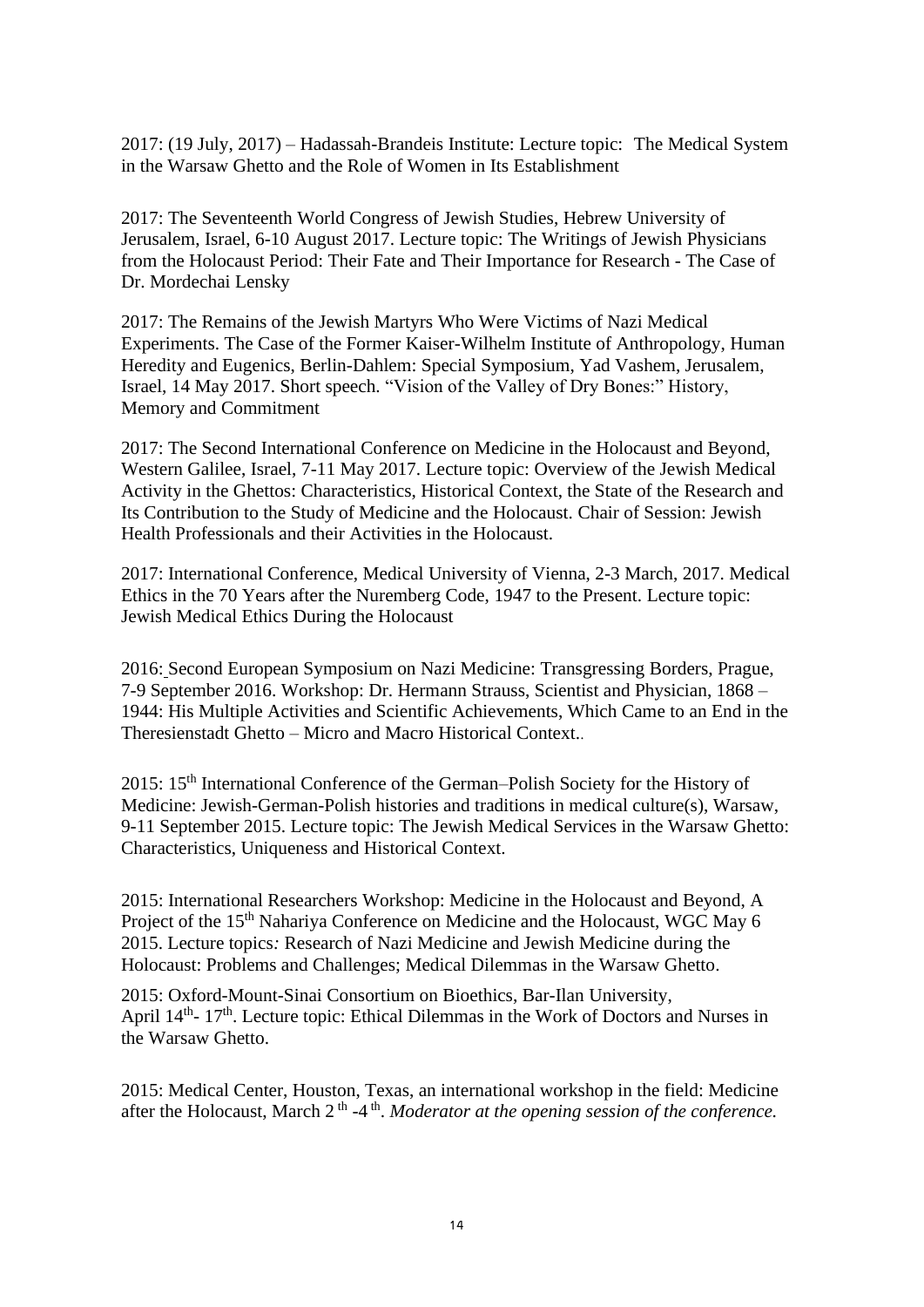2017: (19 July, 2017) – Hadassah-Brandeis Institute: Lecture topic: The Medical System in the Warsaw Ghetto and the Role of Women in Its Establishment

2017: The Seventeenth World Congress of Jewish Studies, Hebrew University of Jerusalem, Israel, 6-10 August 2017. Lecture topic: The Writings of Jewish Physicians from the Holocaust Period: Their Fate and Their Importance for Research - The Case of Dr. Mordechai Lensky

2017: The Remains of the Jewish Martyrs Who Were Victims of Nazi Medical Experiments. The Case of the Former Kaiser-Wilhelm Institute of Anthropology, Human Heredity and Eugenics, Berlin-Dahlem: Special Symposium, Yad Vashem, Jerusalem, Israel, 14 May 2017. Short speech. "Vision of the Valley of Dry Bones:" History, Memory and Commitment

2017: The Second International Conference on Medicine in the Holocaust and Beyond, Western Galilee, Israel, 7-11 May 2017. Lecture topic: Overview of the Jewish Medical Activity in the Ghettos: Characteristics, Historical Context, the State of the Research and Its Contribution to the Study of Medicine and the Holocaust. Chair of Session: Jewish Health Professionals and their Activities in the Holocaust.

2017: International Conference, Medical University of Vienna, 2-3 March, 2017. Medical Ethics in the 70 Years after the Nuremberg Code, 1947 to the Present. Lecture topic: Jewish Medical Ethics During the Holocaust

2016: Second European Symposium on Nazi Medicine: Transgressing Borders, Prague, 7-9 September 2016. Workshop: Dr. Hermann Strauss, Scientist and Physician, 1868 – 1944: His Multiple Activities and Scientific Achievements, Which Came to an End in the Theresienstadt Ghetto – Micro and Macro Historical Context..

2015: 15<sup>th</sup> International Conference of the German–Polish Society for the History of Medicine: Jewish-German-Polish histories and traditions in medical culture(s), Warsaw, 9-11 September 2015. Lecture topic: The Jewish Medical Services in the Warsaw Ghetto: Characteristics, Uniqueness and Historical Context.

2015: International Researchers Workshop: Medicine in the Holocaust and Beyond, A Project of the 15<sup>th</sup> Nahariya Conference on Medicine and the Holocaust, WGC May 6 2015. Lecture topics*:* Research of Nazi Medicine and Jewish Medicine during the Holocaust: Problems and Challenges; Medical Dilemmas in the Warsaw Ghetto.

2015: Oxford-Mount-Sinai Consortium on Bioethics, Bar-Ilan University, April 14<sup>th</sup>- 17<sup>th</sup>. Lecture topic: Ethical Dilemmas in the Work of Doctors and Nurses in the Warsaw Ghetto.

2015: Medical Center, Houston, Texas, an international workshop in the field: Medicine after the Holocaust, March 2<sup>th</sup> -4<sup>th</sup>. *Moderator at the opening session of the conference*.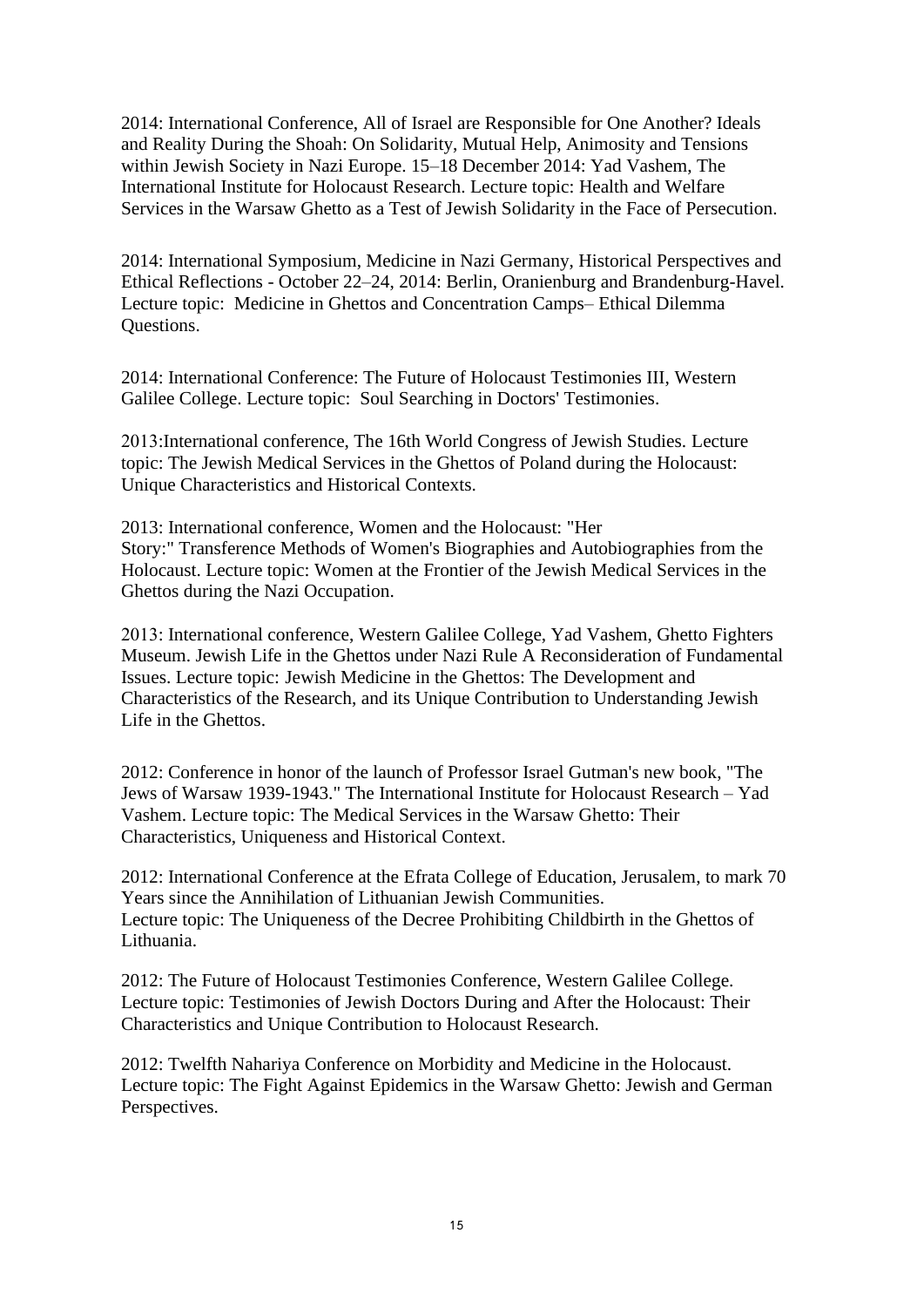2014: International Conference, All of Israel are Responsible for One Another? Ideals and Reality During the Shoah: On Solidarity, Mutual Help, Animosity and Tensions within Jewish Society in Nazi Europe. 15–18 December 2014: Yad Vashem, The International Institute for Holocaust Research. Lecture topic: Health and Welfare Services in the Warsaw Ghetto as a Test of Jewish Solidarity in the Face of Persecution.

2014: International Symposium, Medicine in Nazi Germany, Historical Perspectives and Ethical Reflections - October 22–24, 2014: Berlin, Oranienburg and Brandenburg-Havel. Lecture topic: Medicine in Ghettos and Concentration Camps– Ethical Dilemma Questions.

2014: International Conference: The Future of Holocaust Testimonies III, Western Galilee College. Lecture topic: Soul Searching in Doctors' Testimonies.

2013:International conference, The 16th World Congress of Jewish Studies. Lecture topic: The Jewish Medical Services in the Ghettos of Poland during the Holocaust: Unique Characteristics and Historical Contexts.

2013: International conference, Women and the Holocaust: "Her Story:" Transference Methods of Women's Biographies and Autobiographies from the Holocaust. Lecture topic: Women at the Frontier of the Jewish Medical Services in the Ghettos during the Nazi Occupation.

2013: International conference, Western Galilee College, Yad Vashem, Ghetto Fighters Museum. Jewish Life in the Ghettos under Nazi Rule A Reconsideration of Fundamental Issues. Lecture topic: Jewish Medicine in the Ghettos: The Development and Characteristics of the Research, and its Unique Contribution to Understanding Jewish Life in the Ghettos.

2012: Conference in honor of the launch of Professor Israel Gutman's new book, "The Jews of Warsaw 1939-1943." The International Institute for Holocaust Research – Yad Vashem. Lecture topic: The Medical Services in the Warsaw Ghetto: Their Characteristics, Uniqueness and Historical Context.

2012: International Conference at the Efrata College of Education, Jerusalem, to mark 70 Years since the Annihilation of Lithuanian Jewish Communities. Lecture topic: The Uniqueness of the Decree Prohibiting Childbirth in the Ghettos of Lithuania.

2012: The Future of Holocaust Testimonies Conference, Western Galilee College. Lecture topic: Testimonies of Jewish Doctors During and After the Holocaust: Their Characteristics and Unique Contribution to Holocaust Research.

2012: Twelfth Nahariya Conference on Morbidity and Medicine in the Holocaust. Lecture topic: The Fight Against Epidemics in the Warsaw Ghetto: Jewish and German Perspectives.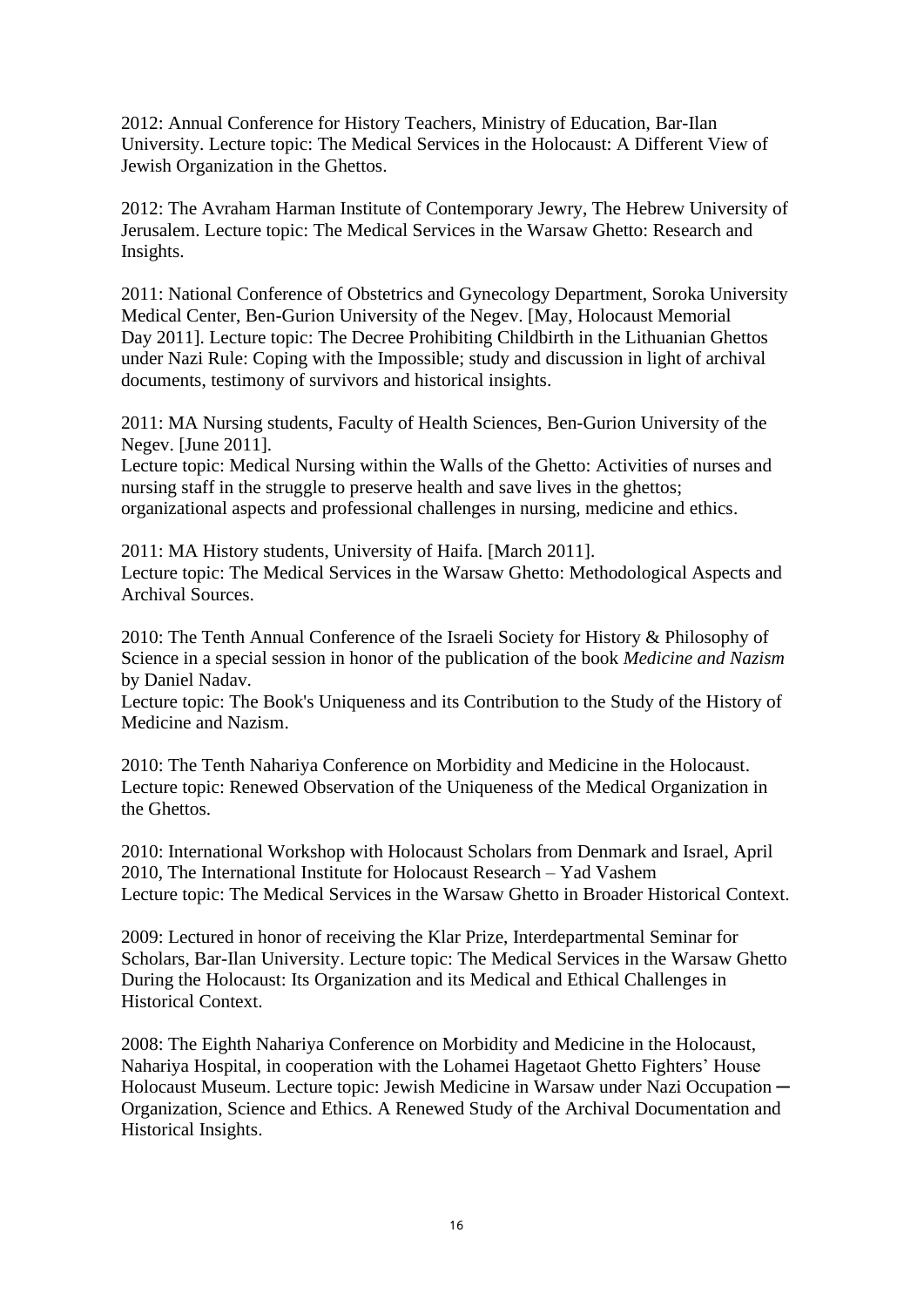2012: Annual Conference for History Teachers, Ministry of Education, Bar-Ilan University. Lecture topic: The Medical Services in the Holocaust: A Different View of Jewish Organization in the Ghettos.

2012: The Avraham Harman Institute of Contemporary Jewry, The Hebrew University of Jerusalem. Lecture topic: The Medical Services in the Warsaw Ghetto: Research and Insights.

2011: National Conference of Obstetrics and Gynecology Department, Soroka University Medical Center, Ben-Gurion University of the Negev. [May, Holocaust Memorial Day 2011]. Lecture topic: The Decree Prohibiting Childbirth in the Lithuanian Ghettos under Nazi Rule: Coping with the Impossible; study and discussion in light of archival documents, testimony of survivors and historical insights.

2011: MA Nursing students, Faculty of Health Sciences, Ben-Gurion University of the Negev. [June 2011].

Lecture topic: Medical Nursing within the Walls of the Ghetto: Activities of nurses and nursing staff in the struggle to preserve health and save lives in the ghettos; organizational aspects and professional challenges in nursing, medicine and ethics.

2011: MA History students, University of Haifa. [March 2011]. Lecture topic: The Medical Services in the Warsaw Ghetto: Methodological Aspects and Archival Sources.

2010: The Tenth Annual Conference of the Israeli Society for History & Philosophy of Science in a special session in honor of the publication of the book *Medicine and Nazism* by Daniel Nadav.

Lecture topic: The Book's Uniqueness and its Contribution to the Study of the History of Medicine and Nazism.

2010: The Tenth Nahariya Conference on Morbidity and Medicine in the Holocaust. Lecture topic: Renewed Observation of the Uniqueness of the Medical Organization in the Ghettos.

2010: International Workshop with Holocaust Scholars from Denmark and Israel, April 2010, The International Institute for Holocaust Research – Yad Vashem Lecture topic: The Medical Services in the Warsaw Ghetto in Broader Historical Context.

2009: Lectured in honor of receiving the Klar Prize, Interdepartmental Seminar for Scholars, Bar-Ilan University. Lecture topic: The Medical Services in the Warsaw Ghetto During the Holocaust: Its Organization and its Medical and Ethical Challenges in Historical Context.

2008: The Eighth Nahariya Conference on Morbidity and Medicine in the Holocaust, Nahariya Hospital, in cooperation with the Lohamei Hagetaot Ghetto Fighters' House Holocaust Museum. Lecture topic: Jewish Medicine in Warsaw under Nazi Occupation — Organization, Science and Ethics. A Renewed Study of the Archival Documentation and Historical Insights.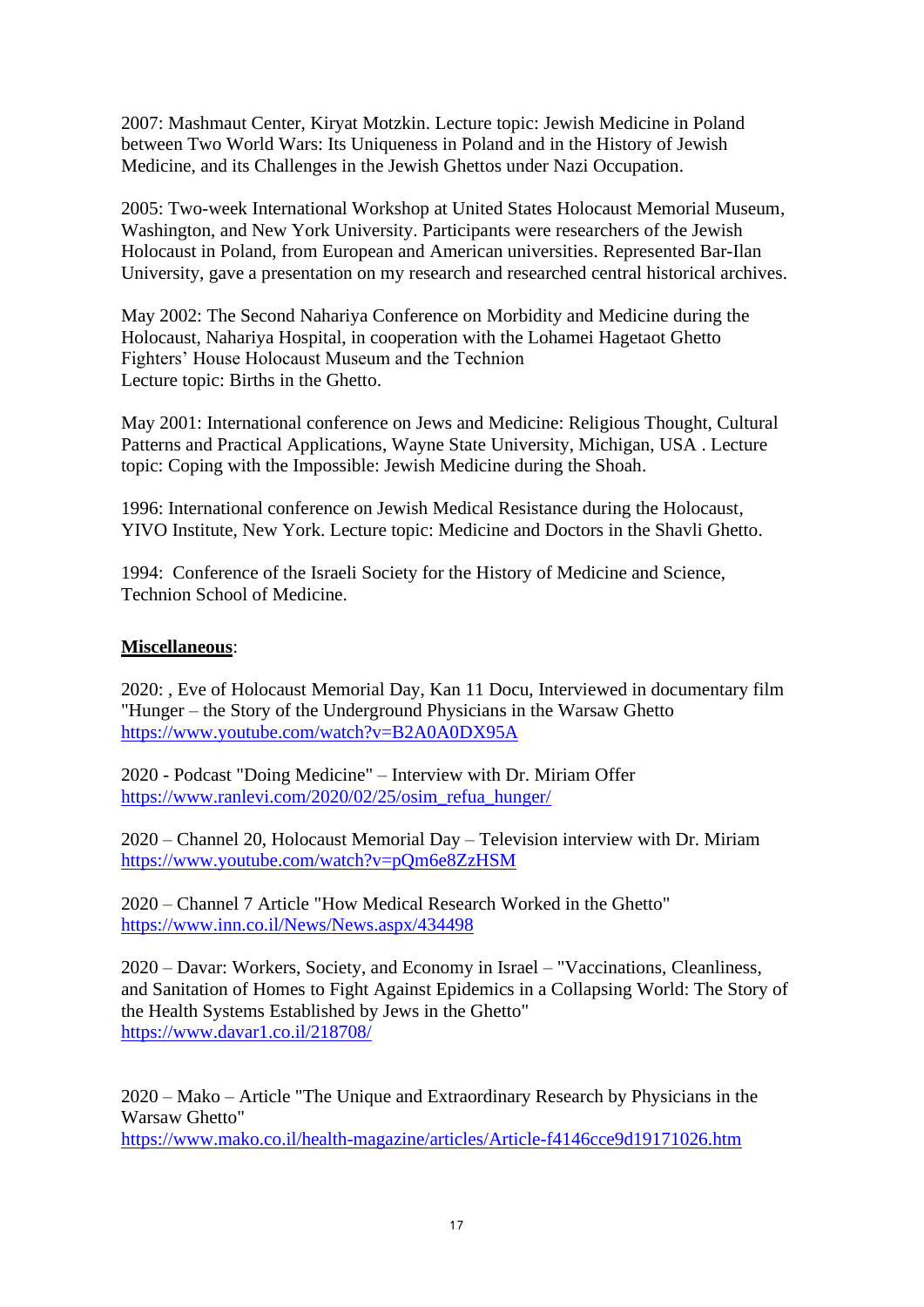2007: Mashmaut Center, Kiryat Motzkin. Lecture topic: Jewish Medicine in Poland between Two World Wars: Its Uniqueness in Poland and in the History of Jewish Medicine, and its Challenges in the Jewish Ghettos under Nazi Occupation.

2005: Two-week International Workshop at United States Holocaust Memorial Museum, Washington, and New York University. Participants were researchers of the Jewish Holocaust in Poland, from European and American universities. Represented Bar-Ilan University, gave a presentation on my research and researched central historical archives.

May 2002: The Second Nahariya Conference on Morbidity and Medicine during the Holocaust, Nahariya Hospital, in cooperation with the Lohamei Hagetaot Ghetto Fighters' House Holocaust Museum and the Technion Lecture topic: Births in the Ghetto.

May 2001: International conference on Jews and Medicine: Religious Thought, Cultural Patterns and Practical Applications, Wayne State University, Michigan, USA . Lecture topic: Coping with the Impossible: Jewish Medicine during the Shoah.

1996: International conference on Jewish Medical Resistance during the Holocaust, YIVO Institute, New York. Lecture topic: Medicine and Doctors in the Shavli Ghetto.

1994: Conference of the Israeli Society for the History of Medicine and Science, Technion School of Medicine.

## **Miscellaneous**:

2020: , Eve of Holocaust Memorial Day, Kan 11 Docu, Interviewed in documentary film "Hunger – the Story of the Underground Physicians in the Warsaw Ghetto <https://www.youtube.com/watch?v=B2A0A0DX95A>

2020 - Podcast "Doing Medicine" – Interview with Dr. Miriam Offer [https://www.ranlevi.com/2020/02/25/osim\\_refua\\_hunger/](https://www.ranlevi.com/2020/02/25/osim_refua_hunger/)

2020 – Channel 20, Holocaust Memorial Day – Television interview with Dr. Miriam <https://www.youtube.com/watch?v=pQm6e8ZzHSM>

2020 – Channel 7 Article "How Medical Research Worked in the Ghetto" <https://www.inn.co.il/News/News.aspx/434498>

2020 – Davar: Workers, Society, and Economy in Israel – "Vaccinations, Cleanliness, and Sanitation of Homes to Fight Against Epidemics in a Collapsing World: The Story of the Health Systems Established by Jews in the Ghetto" <https://www.davar1.co.il/218708/>

2020 – Mako – Article "The Unique and Extraordinary Research by Physicians in the Warsaw Ghetto" <https://www.mako.co.il/health-magazine/articles/Article-f4146cce9d19171026.htm>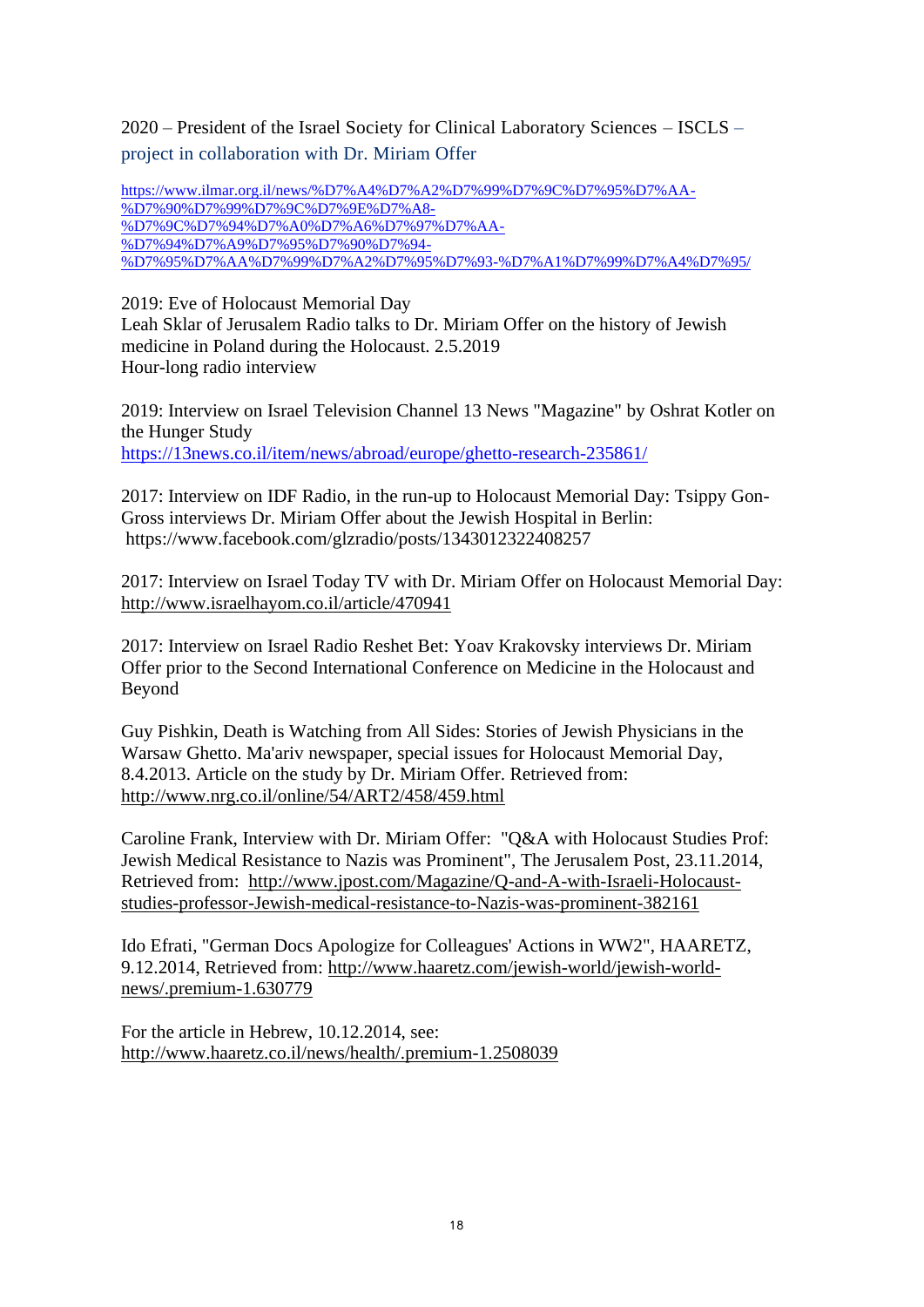2020 – President of the Israel Society for Clinical Laboratory Sciences – ISCLS – project in collaboration with Dr. Miriam Offer

[https://www.ilmar.org.il/news/%D7%A4%D7%A2%D7%99%D7%9C%D7%95%D7%AA-](https://www.ilmar.org.il/news/%D7%A4%D7%A2%D7%99%D7%9C%D7%95%D7%AA-%D7%90%D7%99%D7%9C%D7%9E%D7%A8-%D7%9C%D7%94%D7%A0%D7%A6%D7%97%D7%AA-%D7%94%D7%A9%D7%95%D7%90%D7%94-%D7%95%D7%AA%D7%99%D7%A2%D7%95%D7%93-%D7%A1%D7%99%D7%A4%D7%95/) [%D7%90%D7%99%D7%9C%D7%9E%D7%A8-](https://www.ilmar.org.il/news/%D7%A4%D7%A2%D7%99%D7%9C%D7%95%D7%AA-%D7%90%D7%99%D7%9C%D7%9E%D7%A8-%D7%9C%D7%94%D7%A0%D7%A6%D7%97%D7%AA-%D7%94%D7%A9%D7%95%D7%90%D7%94-%D7%95%D7%AA%D7%99%D7%A2%D7%95%D7%93-%D7%A1%D7%99%D7%A4%D7%95/) [%D7%9C%D7%94%D7%A0%D7%A6%D7%97%D7%AA-](https://www.ilmar.org.il/news/%D7%A4%D7%A2%D7%99%D7%9C%D7%95%D7%AA-%D7%90%D7%99%D7%9C%D7%9E%D7%A8-%D7%9C%D7%94%D7%A0%D7%A6%D7%97%D7%AA-%D7%94%D7%A9%D7%95%D7%90%D7%94-%D7%95%D7%AA%D7%99%D7%A2%D7%95%D7%93-%D7%A1%D7%99%D7%A4%D7%95/) [%D7%94%D7%A9%D7%95%D7%90%D7%94-](https://www.ilmar.org.il/news/%D7%A4%D7%A2%D7%99%D7%9C%D7%95%D7%AA-%D7%90%D7%99%D7%9C%D7%9E%D7%A8-%D7%9C%D7%94%D7%A0%D7%A6%D7%97%D7%AA-%D7%94%D7%A9%D7%95%D7%90%D7%94-%D7%95%D7%AA%D7%99%D7%A2%D7%95%D7%93-%D7%A1%D7%99%D7%A4%D7%95/) [%D7%95%D7%AA%D7%99%D7%A2%D7%95%D7%93-%D7%A1%D7%99%D7%A4%D7%95/](https://www.ilmar.org.il/news/%D7%A4%D7%A2%D7%99%D7%9C%D7%95%D7%AA-%D7%90%D7%99%D7%9C%D7%9E%D7%A8-%D7%9C%D7%94%D7%A0%D7%A6%D7%97%D7%AA-%D7%94%D7%A9%D7%95%D7%90%D7%94-%D7%95%D7%AA%D7%99%D7%A2%D7%95%D7%93-%D7%A1%D7%99%D7%A4%D7%95/)

2019: Eve of Holocaust Memorial Day

Leah Sklar of Jerusalem Radio talks to Dr. Miriam Offer on the history of Jewish medicine in Poland during the Holocaust. 2.5.2019 Hour-long radio interview

2019: Interview on Israel Television Channel 13 News "Magazine" by Oshrat Kotler on the Hunger Study <https://13news.co.il/item/news/abroad/europe/ghetto-research-235861/>

2017: Interview on IDF Radio, in the run-up to Holocaust Memorial Day: Tsippy Gon-Gross interviews Dr. Miriam Offer about the Jewish Hospital in Berlin: https://www.facebook.com/glzradio/posts/1343012322408257

2017: Interview on Israel Today TV with Dr. Miriam Offer on Holocaust Memorial Day: <http://www.israelhayom.co.il/article/470941>

2017: Interview on Israel Radio Reshet Bet: Yoav Krakovsky interviews Dr. Miriam Offer prior to the Second International Conference on Medicine in the Holocaust and Beyond

Guy Pishkin, Death is Watching from All Sides: Stories of Jewish Physicians in the Warsaw Ghetto. Ma'ariv newspaper, special issues for Holocaust Memorial Day, 8.4.2013. Article on the study by Dr. Miriam Offer. Retrieved from: <http://www.nrg.co.il/online/54/ART2/458/459.html>

Caroline Frank, Interview with Dr. Miriam Offer: "Q&A with Holocaust Studies Prof: Jewish Medical Resistance to Nazis was Prominent", The Jerusalem Post, 23.11.2014, Retrieved from: [http://www.jpost.com/Magazine/Q-and-A-with-Israeli-Holocaust](http://www.jpost.com/Magazine/Q-and-A-with-Israeli-Holocaust-studies-professor-Jewish-medical-resistance-to-Nazis-was-prominent-382161)[studies-professor-Jewish-medical-resistance-to-Nazis-was-prominent-382161](http://www.jpost.com/Magazine/Q-and-A-with-Israeli-Holocaust-studies-professor-Jewish-medical-resistance-to-Nazis-was-prominent-382161)

Ido Efrati, "German Docs Apologize for Colleagues' Actions in WW2", HAARETZ, 9.12.2014, Retrieved from: [http://www.haaretz.com/jewish-world/jewish-world](http://www.haaretz.com/jewish-world/jewish-world-news/.premium-1.630779)[news/.premium-1.630779](http://www.haaretz.com/jewish-world/jewish-world-news/.premium-1.630779)

For the article in Hebrew, 10.12.2014, see: <http://www.haaretz.co.il/news/health/.premium-1.2508039>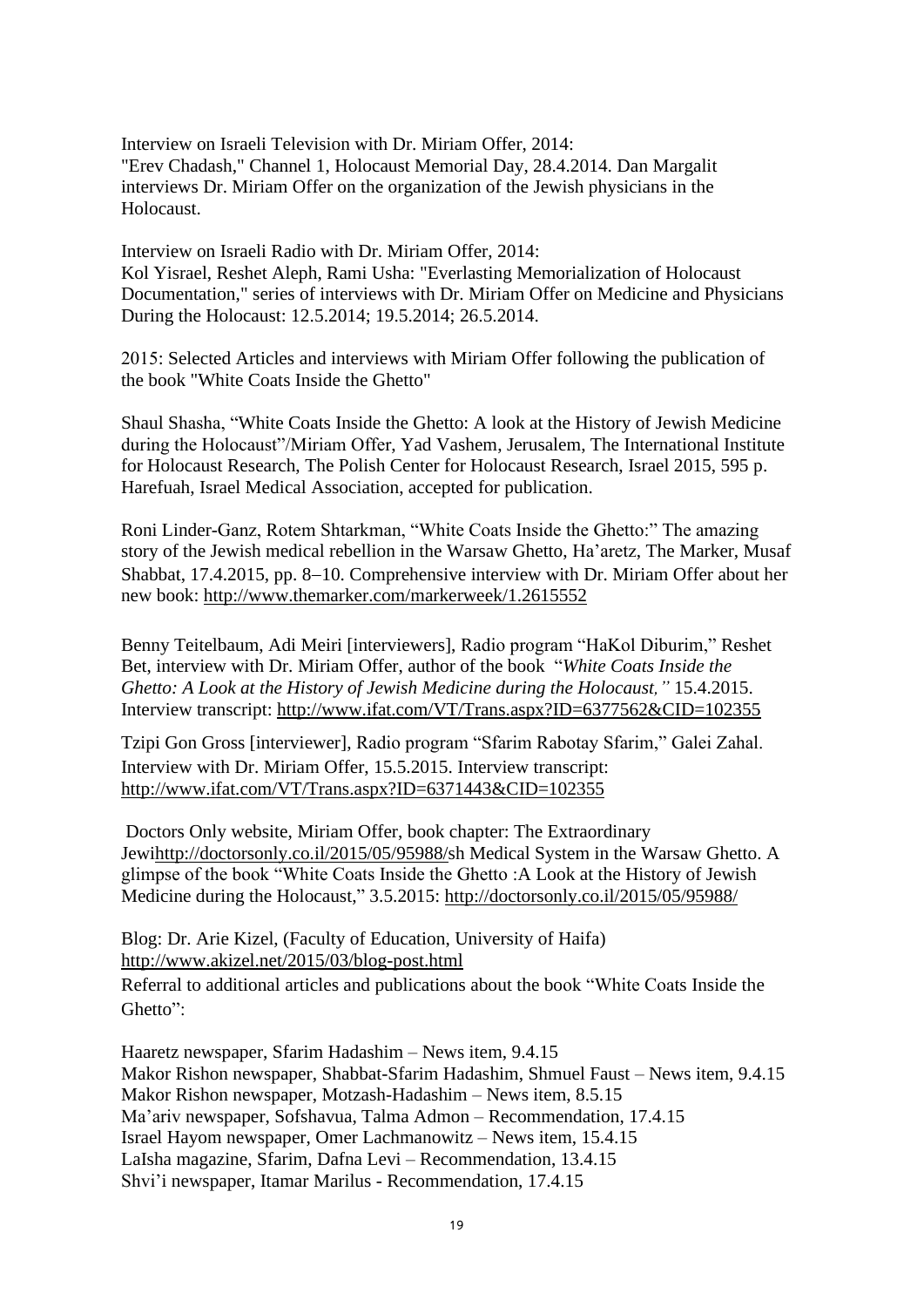Interview on Israeli Television with Dr. Miriam Offer, 2014: "Erev Chadash," Channel 1, Holocaust Memorial Day, 28.4.2014. Dan Margalit interviews Dr. Miriam Offer on the organization of the Jewish physicians in the Holocaust.

Interview on Israeli Radio with Dr. Miriam Offer, 2014: Kol Yisrael, Reshet Aleph, Rami Usha: "Everlasting Memorialization of Holocaust Documentation," series of interviews with Dr. Miriam Offer on Medicine and Physicians During the Holocaust: 12.5.2014; 19.5.2014; 26.5.2014.

2015: Selected Articles and interviews with Miriam Offer following the publication of the book "White Coats Inside the Ghetto"

Shaul Shasha, "White Coats Inside the Ghetto: A look at the History of Jewish Medicine during the Holocaust"/Miriam Offer, Yad Vashem, Jerusalem, The International Institute for Holocaust Research, The Polish Center for Holocaust Research, Israel 2015, 595 p. Harefuah, Israel Medical Association, accepted for publication.

Roni Linder-Ganz, Rotem Shtarkman, "White Coats Inside the Ghetto:" The amazing story of the Jewish medical rebellion in the Warsaw Ghetto, Ha'aretz, The Marker, Musaf Shabbat, 17.4.2015, pp. 8−10. Comprehensive interview with Dr. Miriam Offer about her new book:<http://www.themarker.com/markerweek/1.2615552>

Benny Teitelbaum, Adi Meiri [interviewers], Radio program "HaKol Diburim," Reshet Bet, interview with Dr. Miriam Offer, author of the book "*White Coats Inside the Ghetto: A Look at the History of Jewish Medicine during the Holocaust,"* 15.4.2015. Interview transcript:<http://www.ifat.com/VT/Trans.aspx?ID=6377562&CID=102355>

Tzipi Gon Gross [interviewer], Radio program "Sfarim Rabotay Sfarim," Galei Zahal. Interview with Dr. Miriam Offer, 15.5.2015. Interview transcript: <http://www.ifat.com/VT/Trans.aspx?ID=6371443&CID=102355>

Doctors Only website, Miriam Offer, book chapter: The Extraordinary Jew[ihttp://doctorsonly.co.il/2015/05/95988/s](http://doctorsonly.co.il/2015/05/95988/)h Medical System in the Warsaw Ghetto. A glimpse of the book "White Coats Inside the Ghetto :A Look at the History of Jewish Medicine during the Holocaust," 3.5.2015:<http://doctorsonly.co.il/2015/05/95988/>

Blog: Dr. Arie Kizel, (Faculty of Education, University of Haifa) <http://www.akizel.net/2015/03/blog-post.html>

Referral to additional articles and publications about the book "White Coats Inside the Ghetto":

Haaretz newspaper, Sfarim Hadashim – News item, 9.4.15 Makor Rishon newspaper, Shabbat-Sfarim Hadashim, Shmuel Faust – News item, 9.4.15 Makor Rishon newspaper, Motzash-Hadashim – News item, 8.5.15 Ma'ariv newspaper, Sofshavua, Talma Admon – Recommendation, 17.4.15 Israel Hayom newspaper, Omer Lachmanowitz – News item, 15.4.15 LaIsha magazine, Sfarim, Dafna Levi – Recommendation, 13.4.15 Shvi'i newspaper, Itamar Marilus - Recommendation, 17.4.15